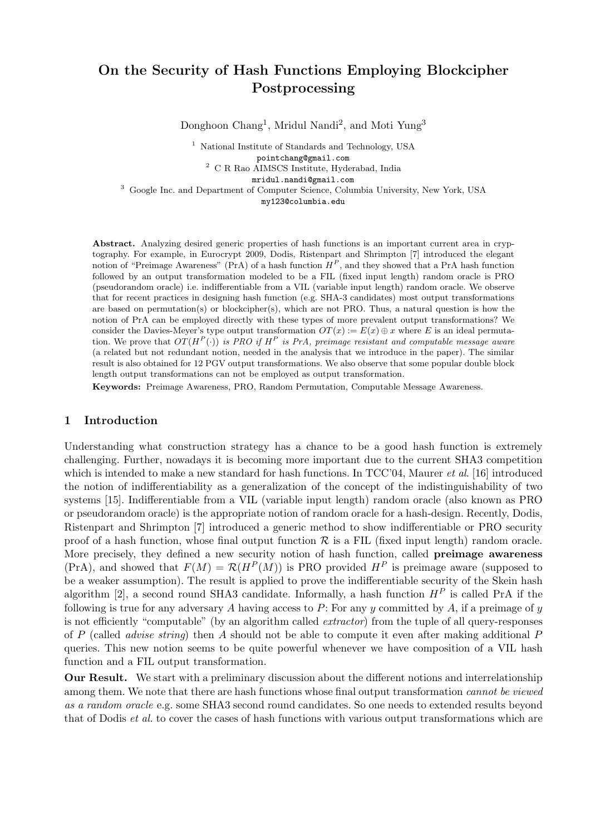# On the Security of Hash Functions Employing Blockcipher Postprocessing

Donghoon Chang<sup>1</sup>, Mridul Nandi<sup>2</sup>, and Moti Yung<sup>3</sup>

<sup>1</sup> National Institute of Standards and Technology, USA pointchang@gmail.com <sup>2</sup> C R Rao AIMSCS Institute, Hyderabad, India mridul.nandi@gmail.com

<sup>3</sup> Google Inc. and Department of Computer Science, Columbia University, New York, USA my123@columbia.edu

Abstract. Analyzing desired generic properties of hash functions is an important current area in cryptography. For example, in Eurocrypt 2009, Dodis, Ristenpart and Shrimpton [7] introduced the elegant notion of "Preimage Awareness" (PrA) of a hash function  $H^P$ , and they showed that a PrA hash function followed by an output transformation modeled to be a FIL (fixed input length) random oracle is PRO (pseudorandom oracle) i.e. indifferentiable from a VIL (variable input length) random oracle. We observe that for recent practices in designing hash function (e.g. SHA-3 candidates) most output transformations are based on permutation(s) or blockcipher(s), which are not PRO. Thus, a natural question is how the notion of PrA can be employed directly with these types of more prevalent output transformations? We consider the Davies-Meyer's type output transformation  $OT(x) := E(x) \oplus x$  where E is an ideal permutation. We prove that  $OT(H^P(\cdot))$  is PRO if  $H^P$  is PrA, preimage resistant and computable message aware (a related but not redundant notion, needed in the analysis that we introduce in the paper). The similar result is also obtained for 12 PGV output transformations. We also observe that some popular double block length output transformations can not be employed as output transformation.

Keywords: Preimage Awareness, PRO, Random Permutation, Computable Message Awareness.

## 1 Introduction

Understanding what construction strategy has a chance to be a good hash function is extremely challenging. Further, nowadays it is becoming more important due to the current SHA3 competition which is intended to make a new standard for hash functions. In  $TCC'04$ , Maurer *et al.* [16] introduced the notion of indifferentiability as a generalization of the concept of the indistinguishability of two systems [15]. Indifferentiable from a VIL (variable input length) random oracle (also known as PRO or pseudorandom oracle) is the appropriate notion of random oracle for a hash-design. Recently, Dodis, Ristenpart and Shrimpton [7] introduced a generic method to show indifferentiable or PRO security proof of a hash function, whose final output function  $\mathcal R$  is a FIL (fixed input length) random oracle. More precisely, they defined a new security notion of hash function, called **preimage awareness**  $(\text{PrA})$ , and showed that  $F(M) = \mathcal{R}(H^P(M))$  is PRO provided  $H^P$  is preimage aware (supposed to be a weaker assumption). The result is applied to prove the indifferentiable security of the Skein hash algorithm [2], a second round SHA3 candidate. Informally, a hash function  $H<sup>P</sup>$  is called PrA if the following is true for any adversary A having access to P: For any  $y$  committed by A, if a preimage of  $y$ is not efficiently "computable" (by an algorithm called *extractor*) from the tuple of all query-responses of P (called *advise string*) then A should not be able to compute it even after making additional P queries. This new notion seems to be quite powerful whenever we have composition of a VIL hash function and a FIL output transformation.

Our Result. We start with a preliminary discussion about the different notions and interrelationship among them. We note that there are hash functions whose final output transformation *cannot be viewed* as a random oracle e.g. some SHA3 second round candidates. So one needs to extended results beyond that of Dodis *et al.* to cover the cases of hash functions with various output transformations which are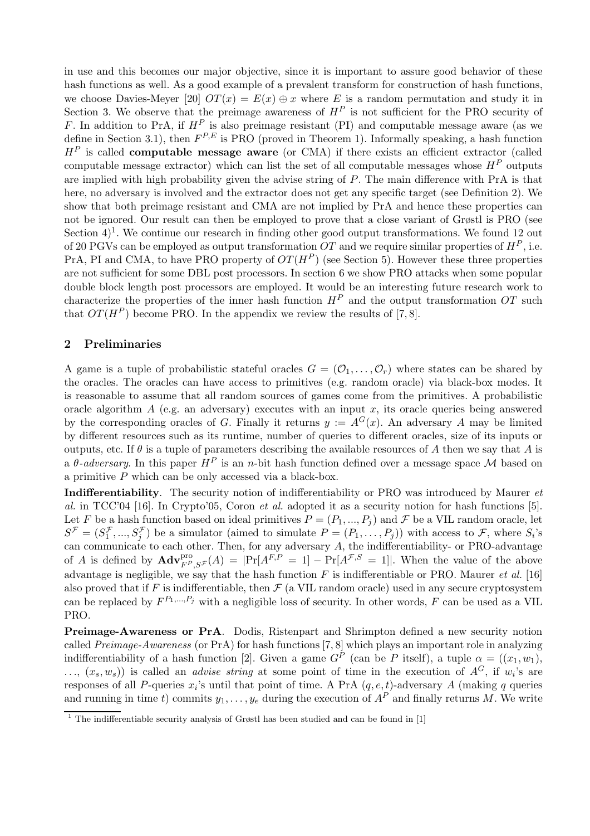in use and this becomes our major objective, since it is important to assure good behavior of these hash functions as well. As a good example of a prevalent transform for construction of hash functions, we choose Davies-Meyer [20]  $OT(x) = E(x) \oplus x$  where E is a random permutation and study it in Section 3. We observe that the preimage awareness of  $H<sup>P</sup>$  is not sufficient for the PRO security of F. In addition to PrA, if  $H^P$  is also preimage resistant (PI) and computable message aware (as we define in Section 3.1), then  $F^{P,E}$  is PRO (proved in Theorem 1). Informally speaking, a hash function  $H<sup>P</sup>$  is called **computable message aware** (or CMA) if there exists an efficient extractor (called computable message extractor) which can list the set of all computable messages whose  $H^P$  outputs are implied with high probability given the advise string of P. The main difference with PrA is that here, no adversary is involved and the extractor does not get any specific target (see Definition 2). We show that both preimage resistant and CMA are not implied by PrA and hence these properties can not be ignored. Our result can then be employed to prove that a close variant of Grøstl is PRO (see Section  $4$ <sup>1</sup>. We continue our research in finding other good output transformations. We found 12 out of 20 PGVs can be employed as output transformation OT and we require similar properties of  $H^P$ , i.e. PrA, PI and CMA, to have PRO property of  $OT(H^P)$  (see Section 5). However these three properties are not sufficient for some DBL post processors. In section 6 we show PRO attacks when some popular double block length post processors are employed. It would be an interesting future research work to characterize the properties of the inner hash function  $H^P$  and the output transformation OT such that  $OT(H^P)$  become PRO. In the appendix we review the results of [7, 8].

## 2 Preliminaries

A game is a tuple of probabilistic stateful oracles  $G = (\mathcal{O}_1, \ldots, \mathcal{O}_r)$  where states can be shared by the oracles. The oracles can have access to primitives (e.g. random oracle) via black-box modes. It is reasonable to assume that all random sources of games come from the primitives. A probabilistic oracle algorithm A (e.g. an adversary) executes with an input x, its oracle queries being answered by the corresponding oracles of G. Finally it returns  $y := A^{G}(x)$ . An adversary A may be limited by different resources such as its runtime, number of queries to different oracles, size of its inputs or outputs, etc. If  $\theta$  is a tuple of parameters describing the available resources of A then we say that A is a  $\theta$ -adversary. In this paper  $H^P$  is an n-bit hash function defined over a message space M based on a primitive P which can be only accessed via a black-box.

Indifferentiability. The security notion of indifferentiability or PRO was introduced by Maurer *et* al. in TCC'04 [16]. In Crypto'05, Coron et al. adopted it as a security notion for hash functions [5]. Let F be a hash function based on ideal primitives  $P = (P_1, ..., P_j)$  and F be a VIL random oracle, let  $S^{\mathcal{F}} = (S_1^{\mathcal{F}})$  $\{f_1^{\mathcal{F}},...,S_j^{\mathcal{F}}\}$  be a simulator (aimed to simulate  $P=(P_1,\ldots,P_j)$ ) with access to  $\mathcal{F}$ , where  $S_i$ 's j can communicate to each other. Then, for any adversary  $A$ , the indifferentiability- or PRO-advantage of A is defined by  $\mathbf{Adv}_{F^P,S^{\mathcal{F}}}^{\text{pro}}(A) = |\Pr[A^{F,P} = 1] - \Pr[A^{\mathcal{F},S} = 1]|$ . When the value of the above advantage is negligible, we say that the hash function  $F$  is indifferentiable or PRO. Maurer et al. [16] also proved that if F is indifferentiable, then  $\mathcal F$  (a VIL random oracle) used in any secure cryptosystem can be replaced by  $F^{P_1,...,P_j}$  with a negligible loss of security. In other words, F can be used as a VIL PRO.

Preimage-Awareness or PrA. Dodis, Ristenpart and Shrimpton defined a new security notion called Preimage-Awareness (or PrA) for hash functions [7, 8] which plays an important role in analyzing indifferentiability of a hash function [2]. Given a game  $G^P$  (can be P itself), a tuple  $\alpha = ((x_1, w_1)$ ,  $..., (x_s, w_s)$  is called an *advise string* at some point of time in the execution of  $A^G$ , if  $w_i$ 's are responses of all P-queries  $x_i$ 's until that point of time. A PrA  $(q, e, t)$ -adversary A (making q queries and running in time t) commits  $y_1, \ldots, y_e$  during the execution of  $A^P$  and finally returns M. We write

 $\frac{1}{1}$  The indifferentiable security analysis of Grøstl has been studied and can be found in [1]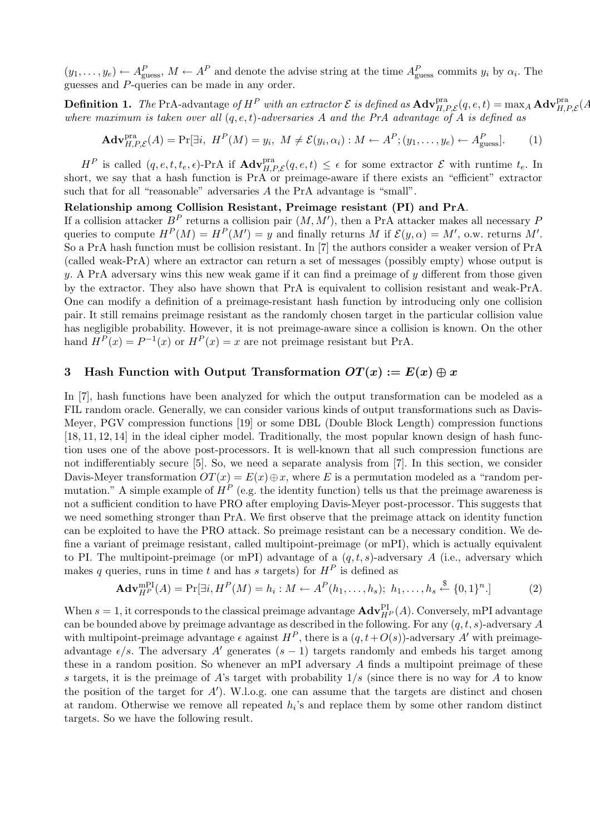$(y_1,\ldots,y_e) \leftarrow A_{\text{guess}}^P$ ,  $M \leftarrow A^P$  and denote the advise string at the time  $A_{\text{guess}}^P$  commits  $y_i$  by  $\alpha_i$ . The guesses and P-queries can be made in any order.

**Definition 1.** The PrA-advantage of  $H^P$  with an extractor  $\mathcal E$  is defined as  $\textbf{Adv}_{H,P,\mathcal E}^{\text{pra}}(q,e,t) = \max_{A} \textbf{Adv}_{H,P,\mathcal E}^{\text{pra}}(A)$ where maximum is taken over all  $(q, e, t)$ -adversaries A and the PrA advantage of A is defined as

$$
\mathbf{Adv}_{H,P,\mathcal{E}}^{\text{pra}}(A) = \Pr[\exists i, \ H^P(M) = y_i, \ M \neq \mathcal{E}(y_i, \alpha_i) : M \leftarrow A^P; (y_1, \dots, y_e) \leftarrow A^P_{\text{guess}}].\tag{1}
$$

 $H^P$  is called  $(q, e, t, t_e, \epsilon)$ -PrA if  $\text{Adv}_{H, P, \mathcal{E}}^{\text{pra}}(q, e, t) \leq \epsilon$  for some extractor  $\mathcal{E}$  with runtime  $t_e$ . In short, we say that a hash function is PrA or preimage-aware if there exists an "efficient" extractor such that for all "reasonable" adversaries A the PrA advantage is "small".

## Relationship among Collision Resistant, Preimage resistant (PI) and PrA.

If a collision attacker  $B^P$  returns a collision pair  $(M, M')$ , then a PrA attacker makes all necessary P queries to compute  $H^P(M) = H^P(M') = y$  and finally returns M if  $\mathcal{E}(y, \alpha) = M'$ , o.w. returns M'. So a PrA hash function must be collision resistant. In [7] the authors consider a weaker version of PrA (called weak-PrA) where an extractor can return a set of messages (possibly empty) whose output is y. A PrA adversary wins this new weak game if it can find a preimage of  $\eta$  different from those given by the extractor. They also have shown that PrA is equivalent to collision resistant and weak-PrA. One can modify a definition of a preimage-resistant hash function by introducing only one collision pair. It still remains preimage resistant as the randomly chosen target in the particular collision value has negligible probability. However, it is not preimage-aware since a collision is known. On the other hand  $\overline{H}^P(x) = P^{-1}(x)$  or  $H^P(x) = x$  are not preimage resistant but PrA.

## 3 Hash Function with Output Transformation  $OT(x) := E(x) \oplus x$

In [7], hash functions have been analyzed for which the output transformation can be modeled as a FIL random oracle. Generally, we can consider various kinds of output transformations such as Davis-Meyer, PGV compression functions [19] or some DBL (Double Block Length) compression functions [18, 11, 12, 14] in the ideal cipher model. Traditionally, the most popular known design of hash function uses one of the above post-processors. It is well-known that all such compression functions are not indifferentiably secure [5]. So, we need a separate analysis from [7]. In this section, we consider Davis-Meyer transformation  $OT(x) = E(x) \oplus x$ , where E is a permutation modeled as a "random permutation." A simple example of  $H^P$  (e.g. the identity function) tells us that the preimage awareness is not a sufficient condition to have PRO after employing Davis-Meyer post-processor. This suggests that we need something stronger than PrA. We first observe that the preimage attack on identity function can be exploited to have the PRO attack. So preimage resistant can be a necessary condition. We define a variant of preimage resistant, called multipoint-preimage (or mPI), which is actually equivalent to PI. The multipoint-preimage (or mPI) advantage of a  $(q, t, s)$ -adversary A (i.e., adversary which makes q queries, runs in time t and has s targets) for  $H^P$  is defined as

$$
\mathbf{Adv}_{H^{P}}^{\text{mPI}}(A) = \Pr[\exists i, H^{P}(M) = h_{i} : M \leftarrow A^{P}(h_{1}, \dots, h_{s}); h_{1}, \dots, h_{s} \stackrel{\$}{\leftarrow} \{0, 1\}^{n}.\]
$$
(2)

When  $s = 1$ , it corresponds to the classical preimage advantage  $\mathbf{Adv}_{H^P}^{\text{PI}}(A)$ . Conversely, mPI advantage can be bounded above by preimage advantage as described in the following. For any  $(q, t, s)$ -adversary A with multipoint-preimage advantage  $\epsilon$  against  $H^P$ , there is a  $(q, t+O(s))$ -adversary A' with preimageadvantage  $\epsilon/s$ . The adversary A' generates  $(s-1)$  targets randomly and embeds his target among these in a random position. So whenever an mPI adversary  $A$  finds a multipoint preimage of these s targets, it is the preimage of A's target with probability  $1/s$  (since there is no way for A to know the position of the target for  $A'$ ). W.l.o.g. one can assume that the targets are distinct and chosen at random. Otherwise we remove all repeated  $h_i$ 's and replace them by some other random distinct targets. So we have the following result.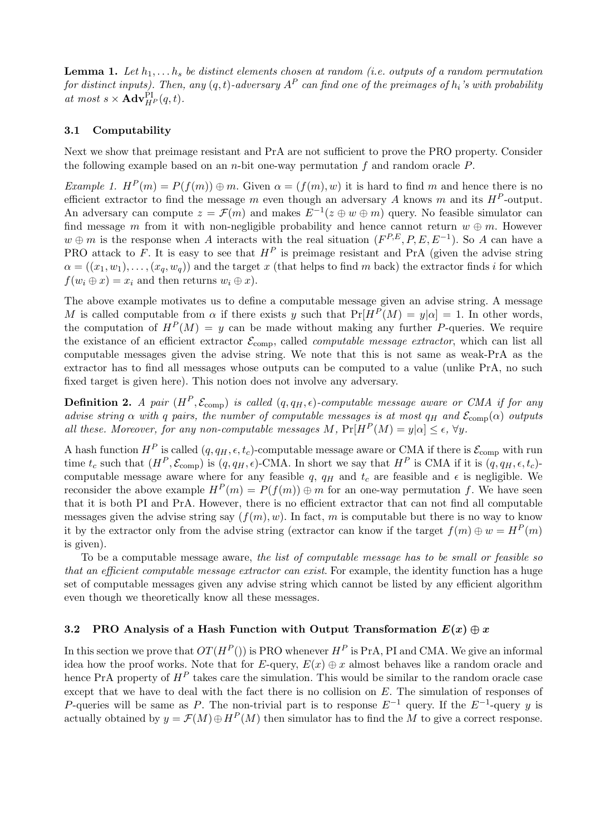**Lemma 1.** Let  $h_1, \ldots, h_s$  be distinct elements chosen at random (i.e. outputs of a random permutation for distinct inputs). Then, any  $(q,t)$ -adversary  $A^P$  can find one of the preimages of  $h_i$ 's with probability at most  $s \times \mathbf{Adv}_{H^P}^{\text{PI}}(q, t)$ .

# 3.1 Computability

Next we show that preimage resistant and PrA are not sufficient to prove the PRO property. Consider the following example based on an *n*-bit one-way permutation  $f$  and random oracle  $P$ .

Example 1.  $H^P(m) = P(f(m)) \oplus m$ . Given  $\alpha = (f(m), w)$  it is hard to find m and hence there is no efficient extractor to find the message m even though an adversary A knows m and its  $H^P$ -output. An adversary can compute  $z = \mathcal{F}(m)$  and makes  $E^{-1}(z \oplus w \oplus m)$  query. No feasible simulator can find message m from it with non-negligible probability and hence cannot return  $w \oplus m$ . However  $w \oplus m$  is the response when A interacts with the real situation  $(F^{P,E}, P, E, E^{-1})$ . So A can have a PRO attack to F. It is easy to see that  $H^P$  is preimage resistant and PrA (given the advise string  $\alpha = ((x_1, w_1), \ldots, (x_a, w_a))$  and the target x (that helps to find m back) the extractor finds i for which  $f(w_i \oplus x) = x_i$  and then returns  $w_i \oplus x$ ).

The above example motivates us to define a computable message given an advise string. A message M is called computable from  $\alpha$  if there exists y such that  $Pr[H^P(M) = y|\alpha] = 1$ . In other words, the computation of  $H^P(M) = y$  can be made without making any further P-queries. We require the existance of an efficient extractor  $\mathcal{E}_{\text{comp}}$ , called *computable message extractor*, which can list all computable messages given the advise string. We note that this is not same as weak-PrA as the extractor has to find all messages whose outputs can be computed to a value (unlike PrA, no such fixed target is given here). This notion does not involve any adversary.

**Definition 2.** A pair  $(H^P, \mathcal{E}_{comp})$  is called  $(q, q_H, \epsilon)$ -computable message aware or CMA if for any advise string  $\alpha$  with q pairs, the number of computable messages is at most  $q_H$  and  $\mathcal{E}_{\text{comp}}(\alpha)$  outputs all these. Moreover, for any non-computable messages M,  $Pr[H^P(M) = y|\alpha] \leq \epsilon$ ,  $\forall y$ .

A hash function  $H^P$  is called  $(q, q_H, \epsilon, t_c)$ -computable message aware or CMA if there is  $\mathcal{E}_{\text{comp}}$  with run time  $t_c$  such that  $(H^P, \mathcal{E}_{comp})$  is  $(q, q_H, \epsilon)$ -CMA. In short we say that  $H^P$  is CMA if it is  $(q, q_H, \epsilon, t_c)$ computable message aware where for any feasible q,  $q_H$  and  $t_c$  are feasible and  $\epsilon$  is negligible. We reconsider the above example  $H^P(m) = P(f(m)) \oplus m$  for an one-way permutation f. We have seen that it is both PI and PrA. However, there is no efficient extractor that can not find all computable messages given the advise string say  $(f(m), w)$ . In fact, m is computable but there is no way to know it by the extractor only from the advise string (extractor can know if the target  $f(m) \oplus w = H^P(m)$ is given).

To be a computable message aware, the list of computable message has to be small or feasible so that an efficient computable message extractor can exist. For example, the identity function has a huge set of computable messages given any advise string which cannot be listed by any efficient algorithm even though we theoretically know all these messages.

# 3.2 PRO Analysis of a Hash Function with Output Transformation  $E(x) \oplus x$

In this section we prove that  $OT(H^P()$  is PRO whenever  $H^P$  is PrA, PI and CMA. We give an informal idea how the proof works. Note that for E-query,  $E(x) \oplus x$  almost behaves like a random oracle and hence PrA property of  $H^P$  takes care the simulation. This would be similar to the random oracle case except that we have to deal with the fact there is no collision on  $E$ . The simulation of responses of P-queries will be same as P. The non-trivial part is to response  $E^{-1}$  query. If the  $E^{-1}$ -query y is actually obtained by  $y = \mathcal{F}(M) \oplus H^P(M)$  then simulator has to find the M to give a correct response.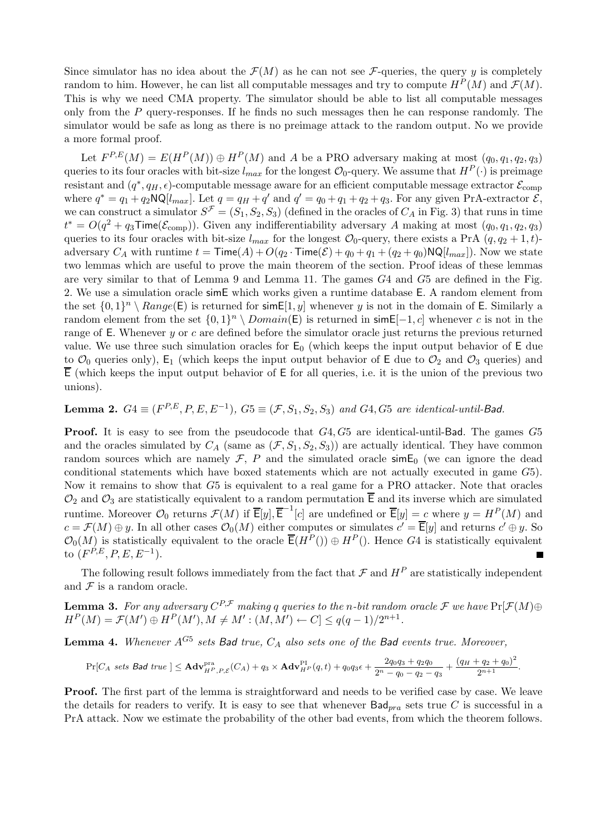Since simulator has no idea about the  $\mathcal{F}(M)$  as he can not see  $\mathcal{F}\text{-}$ queries, the query y is completely random to him. However, he can list all computable messages and try to compute  $H^P(M)$  and  $\mathcal{F}(M)$ . This is why we need CMA property. The simulator should be able to list all computable messages only from the  $P$  query-responses. If he finds no such messages then he can response randomly. The simulator would be safe as long as there is no preimage attack to the random output. No we provide a more formal proof.

Let  $F^{P,E}(M) = E(H^P(M)) \oplus H^P(M)$  and A be a PRO adversary making at most  $(q_0, q_1, q_2, q_3)$ queries to its four oracles with bit-size  $l_{max}$  for the longest  $\mathcal{O}_0$ -query. We assume that  $H^P(\cdot)$  is preimage resistant and  $(q^*, q_H, \epsilon)$ -computable message aware for an efficient computable message extractor  $\mathcal{E}_{\text{comp}}$ where  $q^* = q_1 + q_2 \mathsf{NQ}[l_{max}]$ . Let  $q = q_H + q'$  and  $q' = q_0 + q_1 + q_2 + q_3$ . For any given PrA-extractor  $\mathcal{E}$ , we can construct a simulator  $S^{\mathcal{F}} = (S_1, S_2, S_3)$  (defined in the oracles of  $C_A$  in Fig. 3) that runs in time  $t^* = O(q^2 + q_3)$ Time $(\mathcal{E}_{comp})$ ). Given any indifferentiability adversary A making at most  $(q_0, q_1, q_2, q_3)$ queries to its four oracles with bit-size  $l_{max}$  for the longest  $\mathcal{O}_0$ -query, there exists a PrA  $(q, q_2 + 1, t)$ adversary  $C_A$  with runtime  $t = \textsf{Time}(A) + O(q_2 \cdot \textsf{Time}(\mathcal{E}) + q_0 + q_1 + (q_2 + q_0) \textsf{NQ}[l_{max}])$ . Now we state two lemmas which are useful to prove the main theorem of the section. Proof ideas of these lemmas are very similar to that of Lemma 9 and Lemma 11. The games G4 and G5 are defined in the Fig. 2. We use a simulation oracle simE which works given a runtime database E. A random element from the set  $\{0,1\}^n \setminus Range(\mathsf{E})$  is returned for sim  $\mathsf{E}[1,y]$  whenever y is not in the domain of E. Similarly a random element from the set  $\{0,1\}^n \setminus Domain(\mathsf{E})$  is returned in  $\mathsf{sim}\,\mathsf{E}[-1,c]$  whenever c is not in the range of  $E$ . Whenever  $y$  or  $c$  are defined before the simulator oracle just returns the previous returned value. We use three such simulation oracles for  $E_0$  (which keeps the input output behavior of E due to  $\mathcal{O}_0$  queries only),  $E_1$  (which keeps the input output behavior of E due to  $\mathcal{O}_2$  and  $\mathcal{O}_3$  queries) and  $\overline{E}$  (which keeps the input output behavior of  $E$  for all queries, i.e. it is the union of the previous two unions).

# **Lemma 2.**  $G4 \equiv (F^{P,E}, P, E, E^{-1}), G5 \equiv (F, S_1, S_2, S_3)$  and  $G4, G5$  are identical-until-Bad.

Proof. It is easy to see from the pseudocode that G4, G5 are identical-until-Bad. The games G5 and the oracles simulated by  $C_A$  (same as  $(\mathcal{F}, S_1, S_2, S_3)$ ) are actually identical. They have common random sources which are namely  $\mathcal{F}, P$  and the simulated oracle sim $E_0$  (we can ignore the dead conditional statements which have boxed statements which are not actually executed in game G5). Now it remains to show that G5 is equivalent to a real game for a PRO attacker. Note that oracles  $\mathcal{O}_2$  and  $\mathcal{O}_3$  are statistically equivalent to a random permutation  $\overline{E}$  and its inverse which are simulated runtime. Moreover  $\mathcal{O}_0$  returns  $\mathcal{F}(M)$  if  $\overline{\mathsf{E}}[y], \overline{\mathsf{E}}^{-1}[c]$  are undefined or  $\overline{\mathsf{E}}[y] = c$  where  $y = H^P(M)$  and  $c = \mathcal{F}(M) \oplus y$ . In all other cases  $\mathcal{O}_0(M)$  either computes or simulates  $c' = \overline{\mathsf{E}}[y]$  and returns  $c' \oplus y$ . So  $\mathcal{O}_0(M)$  is statistically equivalent to the oracle  $\overline{\mathsf{E}}(H^P() \oplus H^P()$ . Hence G4 is statistically equivalent to  $(F^{\hat{P},E}, P, E, E^{-1}).$ 

The following result follows immediately from the fact that  $\mathcal F$  and  $H^P$  are statistically independent and  $\mathcal F$  is a random oracle.

**Lemma 3.** For any adversary  $C^{P,\mathcal{F}}$  making q queries to the n-bit random oracle  $\mathcal{F}$  we have  $\Pr[\mathcal{F}(M) \oplus$  $H^{P}(M) = \mathcal{F}(M') \oplus H^{P}(M'), M \neq M' : (M, M') \leftarrow C \leq q(q-1)/2^{n+1}.$ 

**Lemma 4.** Whenever  $A^{G5}$  sets Bad true,  $C_A$  also sets one of the Bad events true. Moreover,

$$
\Pr[C_A \text{ sets } \mathsf{Bad} \text{ true }] \leq \mathbf{Adv}_{H^P,P,\mathcal{E}}^{\text{pra}}(C_A) + q_3 \times \mathbf{Adv}_{H^P}^{\text{PI}}(q,t) + q_0q_3\epsilon + \frac{2q_0q_3 + q_2q_0}{2^n - q_0 - q_2 - q_3} + \frac{(q_H + q_2 + q_0)^2}{2^{n+1}}.
$$

Proof. The first part of the lemma is straightforward and needs to be verified case by case. We leave the details for readers to verify. It is easy to see that whenever  $Bad_{pra}$  sets true C is successful in a PrA attack. Now we estimate the probability of the other bad events, from which the theorem follows.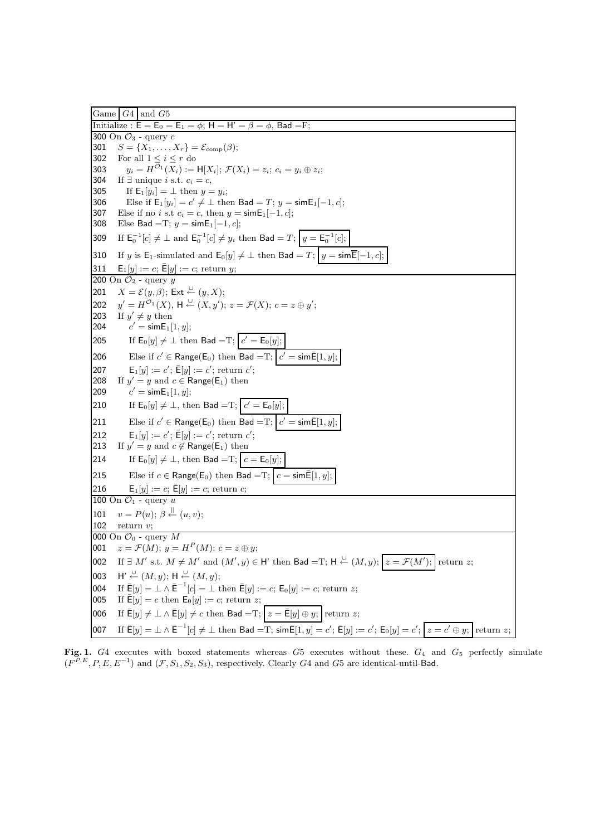Game  $G4$  and  $G5$ Initialize :  $\bar{E} = E_0 = E_1 = \phi$ ; H = H' =  $\beta = \phi$ , Bad = F; 300 On  $\mathcal{O}_3$  - query  $c$ 301  $S = \{X_1, \ldots, X_r\} = \mathcal{E}_{\text{comb}}(\beta);$ 302 For all  $1 \leq i \leq r$  do 303  $y_i = H^{\mathcal{O}_1}(X_i) := \mathsf{H}[X_i]; \, \mathcal{F}(X_i) = z_i; \, c_i = y_i \oplus z_i;$ 304 If  $\exists$  unique *i* s.t.  $c_i = c$ , 305 If  $E_1[y_i] = \perp$  then  $y = y_i$ ; 306 Else if  $\mathsf{E}_1[y_i] = c' \neq \bot$  then  $\mathsf{Bad} = T$ ;  $y = \mathsf{sim} \mathsf{E}_1[-1, c]$ ; 307 Else if no i s.t  $c_i = c$ , then  $y = \text{sim}E_1[-1, c]$ ; 308 Else Bad =T;  $y = \text{sim}E_1[-1, c]$ ; 309 If  $\mathsf{E}_{0}^{-1}[c] \neq \bot$  and  $\mathsf{E}_{0}^{-1}[c] \neq y_{i}$  then Bad = T;  $y = \mathsf{E}_{0}^{-1}[c]$ ; 310 If y is E<sub>1</sub>-simulated and E<sub>0</sub>[y]  $\neq \perp$  then Bad = T;  $y = \text{sim}\overline{E}[-1, c]$ ; 311 **E**<sub>1</sub> $[y] := c$ ; **E**[y] := c; return y; 200 On  $\mathcal{O}_2$  - query y 201  $X = \mathcal{E}(y, \beta);$  Ext  $\stackrel{\cup}{\leftarrow} (y, X);$ 202  $y' = H^{\mathcal{O}_1}(X), \, \mathsf{H} \stackrel{\cup}{\leftarrow} (X, y'); \, z = \mathcal{F}(X); \, c = z \oplus y';$ 203 If  $y' \neq y$  then 204  $c' = \textsf{simE}_1[1, y];$ 205 If  $E_0[y] \neq \perp$  then Bad =T;  $c' = E_0[u]$ 206 Else if  $c' \in \mathsf{Range}(\mathsf{E}_0)$  then  $\mathsf{Bad} = \mathrm{T}; |c|$  $c' = \mathsf{sim}\,\bar{\mathsf{E}}[1, y]$ ; 207  $\mathsf{E}_1[y] := c' ; \, \bar{\mathsf{E}}[y] := c' ; \text{ return } c';$ 208 If  $y' = y$  and  $c \in \mathsf{Range}(E_1)$  then 209  $c' = \mathsf{simE}_1[1, y];$ 210 If  $\mathsf{E}_0[y] \neq \bot$ , then Bad =T;  $c' = \mathsf{E}_0[y]$ ; 211 Else if  $c' \in \mathsf{Range}(\mathsf{E}_0)$  then  $\mathsf{Bad} = \mathrm{T}; |c|$  $c' = \mathsf{sim}\bar{\mathsf{E}}[1,y];$ 212  $\mathsf{E}_1[y] := c'$ ;  $\bar{\mathsf{E}}[y] := c'$ ; return  $c'$ ; 213 If  $y' = y$  and  $c \notin \mathsf{Range}(E_1)$  then 214 If  $\mathsf{E}_0[y] \neq \bot$ , then Bad =T;  $c = \mathsf{E}_0[y]$ ; 215 Else if  $c \in \text{Range}(\mathsf{E}_0)$  then Bad = T;  $c = \text{sim}\bar{\mathsf{E}}[1, y]$ ; 216  $E_1[y] := c$ ;  $\bar{E}[y] := c$ ; return c; 100 On  $\mathcal{O}_1$  - query u 101  $v = P(u); \, \beta \stackrel{\parallel}{\leftarrow} (u, v);$ 102 return v; 000 On  $\mathcal{O}_0$  - query M 001  $z = \mathcal{F}(M); y = H^P(M); c = z \oplus y;$ 002 If  $\exists M'$  s.t.  $M \neq M'$  and  $(M', y) \in H'$  then Bad = T;  $H \stackrel{\cup}{\leftarrow} (M, y);$   $z = \mathcal{F}(M');$  return z; 003  $\mathsf{H'} \stackrel{\cup}{\leftarrow} (M, y); \mathsf{H} \stackrel{\cup}{\leftarrow} (M, y);$ 004 If  $\bar{E}[y] = \bot \wedge \bar{E}^{-1}[c] = \bot$  then  $\bar{E}[y] := c$ ;  $E_0[y] := c$ ; return z; 005 If  $\bar{\mathsf{E}}[y] = c$  then  $\mathsf{E}_0[y] := c$ ; return z; 006 If  $\bar{E}[y] \neq \bot \wedge \bar{E}[y] \neq c$  then Bad  $=T; |z = \bar{E}[y] \oplus y;$  return z; 007  $\quad$  If  $\bar{\sf E}[y]=\bot \wedge \bar{\sf E}^{-1}[c] \neq \bot$  then  ${\sf Bad}= {\rm T}; \, {\sf sim} \bar{\sf E}[1,y]=c'; \, \bar{\sf E}[y]:=c'; \, {\sf E}_0[y]=c'; \, \big| \, z=c$  $return z$ ;

Fig. 1. G4 executes with boxed statements whereas G5 executes without these.  $G_4$  and  $G_5$  perfectly simulate  $(F^{P,E}, P, E, E^{-1})$  and  $(\mathcal{F}, S_1, S_2, S_3)$ , respectively. Clearly G4 and G5 are identical-until-Bad.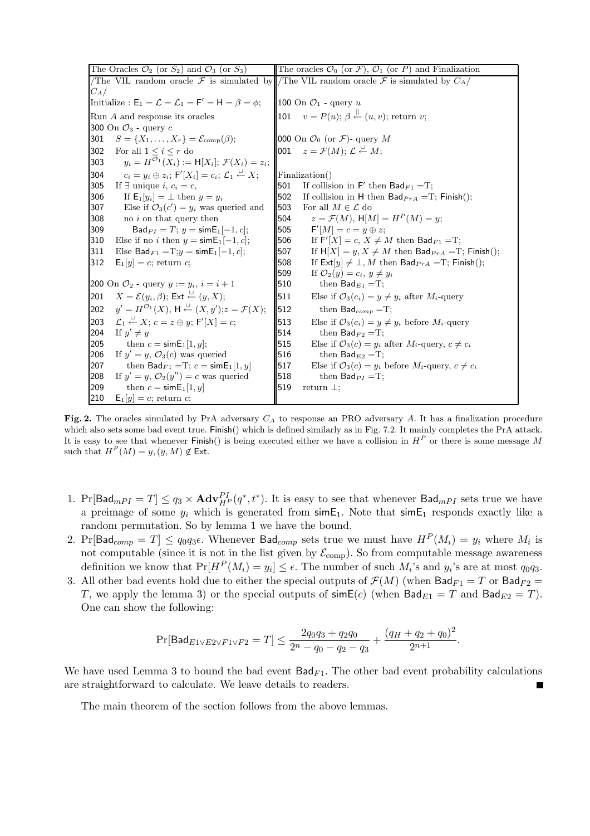| The Oracles $\mathcal{O}_2$ (or $S_2$ ) and $\mathcal{O}_3$ (or $S_3$ )                                    | The oracles $\mathcal{O}_0$ (or $\mathcal{F}$ ), $\mathcal{O}_1$ (or P) and Finalization |  |  |
|------------------------------------------------------------------------------------------------------------|------------------------------------------------------------------------------------------|--|--|
|                                                                                                            | The VIL random oracle F is simulated by The VIL random oracle F is simulated by $C_A$    |  |  |
| $C_A/$                                                                                                     |                                                                                          |  |  |
| Initialize: $E_1 = \mathcal{L} = \mathcal{L}_1 = F' = H = \beta = \phi$ ;                                  | 100 On $\mathcal{O}_1$ - query u                                                         |  |  |
| Run A and response its oracles                                                                             | 101 $v = P(u)$ ; $\beta \stackrel{\parallel}{\leftarrow} (u, v)$ ; return v;             |  |  |
| 300 On $\mathcal{O}_3$ - query $c$                                                                         |                                                                                          |  |  |
| $S = \{X_1, \ldots, X_r\} = \mathcal{E}_{\text{comp}}(\beta);$<br>301                                      | 000 On $\mathcal{O}_0$ (or $\mathcal{F}$ )- query M                                      |  |  |
| 302<br>For all $1 \leq i \leq r$ do                                                                        | 001 $z = \mathcal{F}(M); \mathcal{L} \stackrel{\cup}{\leftarrow} M;$                     |  |  |
| $y_i = H^{\mathcal{O}_1}(X_i) := \mathsf{H}[X_i]; \, \mathcal{F}(X_i) = z_i;$<br>303                       |                                                                                          |  |  |
| $c_i = y_i \oplus z_i$ ; $\mathsf{F}'[X_i] = c_i$ ; $\mathcal{L}_1 \stackrel{\cup}{\leftarrow} X$ ;<br>304 | Finalization()                                                                           |  |  |
| 305                                                                                                        | If collision in $F'$ then $Bad_{F1} = T$ ;                                               |  |  |
| If $\exists$ unique <i>i</i> , $c_i = c$ ,                                                                 | 501                                                                                      |  |  |
| 306                                                                                                        | 502                                                                                      |  |  |
| If $E_1[y_i] = \perp$ then $y = y_i$                                                                       | If collision in H then $Bad_{PrA} = T$ ; Finish();                                       |  |  |
| 307                                                                                                        | 503                                                                                      |  |  |
| Else if $\mathcal{O}_3(c') = y_i$ was queried and                                                          | For all $M \in \mathcal{L}$ do                                                           |  |  |
| 308                                                                                                        | $z = \mathcal{F}(M)$ , $H[M] = HP(M) = y$ ;                                              |  |  |
| no $i$ on that query then                                                                                  | 504                                                                                      |  |  |
| 309                                                                                                        | 505                                                                                      |  |  |
| $Bad_{PI} = T$ ; $y = simE_1[-1, c]$ ;                                                                     | $F'[M] = c = y \oplus z;$                                                                |  |  |
| Else if no <i>i</i> then $y = \text{sim}E_1[-1, c]$ ;                                                      | 506                                                                                      |  |  |
| 310                                                                                                        | If $F'[X] = c$ , $X \neq M$ then $\textsf{Bad}_{F1} = T$ ;                               |  |  |
| Else $\mathsf{Bad}_{F1} = T; y = \mathsf{simE}_1[-1, c];$                                                  | If $H[X] = y, X \neq M$ then Bad $_{PFA}$ =T; Finish();                                  |  |  |
| 311                                                                                                        | 507                                                                                      |  |  |
| 312                                                                                                        | 508                                                                                      |  |  |
| $E_1[y] = c$ ; return c;                                                                                   | If $\text{Ext}[y] \neq \bot$ , M then $\text{Bad}_{PrA} = T$ ; Finish();                 |  |  |
|                                                                                                            | 509<br>If $\mathcal{O}_2(y) = c_i, y \neq y_i$                                           |  |  |
| 200 On $\mathcal{O}_2$ - query $y := y_i, i = i + 1$                                                       | 510<br>then $Bad_{E1} = T$ ;                                                             |  |  |
| $X = \mathcal{E}(y_i, \beta);$ Ext $\stackrel{\cup}{\leftarrow} (y, X);$                                   | Else if $\mathcal{O}_3(c_i) = y \neq y_i$ after $M_i$ -query                             |  |  |
| 201                                                                                                        | 511                                                                                      |  |  |
| $y' = H^{\mathcal{O}_1}(X)$ , $H \stackrel{\cup}{\leftarrow} (X, y')$ ; $z = \mathcal{F}(X)$ ;             | 512                                                                                      |  |  |
| 202                                                                                                        | then $Bad_{comp} = T;$                                                                   |  |  |
| $\mathcal{L}_1 \stackrel{\cup}{\leftarrow} X$ ; $c = z \oplus y$ ; $\mathsf{F}'[X] = c$ ;                  | 513                                                                                      |  |  |
| 203                                                                                                        | Else if $\mathcal{O}_3(c_i) = y \neq y_i$ before $M_i$ -query                            |  |  |
| 204                                                                                                        | 514                                                                                      |  |  |
| If $y' \neq y$                                                                                             | then $Bad_{F2} = T$ ;                                                                    |  |  |
| 205                                                                                                        | 515                                                                                      |  |  |
| then $c = \text{sim}E_1[1, y];$                                                                            | Else if $\mathcal{O}_3(c) = y_i$ after $M_i$ -query, $c \neq c_i$                        |  |  |
| If $y' = y$ , $\mathcal{O}_3(c)$ was queried                                                               | 516                                                                                      |  |  |
| 206                                                                                                        | then $\mathsf{Bad}_{E2} = T$ ;                                                           |  |  |
| 207                                                                                                        | 517                                                                                      |  |  |
| then $\mathsf{Bad}_{F1} = T$ ; $c = \mathsf{simE}_1[1, y]$                                                 | Else if $\mathcal{O}_3(c) = y_i$ before $M_i$ -query, $c \neq c_i$                       |  |  |
| 208                                                                                                        | 518                                                                                      |  |  |
| If $y' = y$ , $\mathcal{O}_2(y'') = c$ was queried                                                         | then $Bad_{PI} = T$ ;                                                                    |  |  |
| 209                                                                                                        | 519                                                                                      |  |  |
| then $c = \text{sim}E_1[1, y]$                                                                             | return $\perp$ ;                                                                         |  |  |
| 210<br>$E_1[y] = c$ ; return c;                                                                            |                                                                                          |  |  |

Fig. 2. The oracles simulated by PrA adversary  $C_A$  to response an PRO adversary A. It has a finalization procedure which also sets some bad event true. Finish() which is defined similarly as in Fig. 7.2. It mainly completes the PrA attack. It is easy to see that whenever Finish() is being executed either we have a collision in  $H^P$  or there is some message M such that  $H^P(M) = y, (y, M) \notin \mathsf{Ext}.$ 

- 1. Pr[Bad<sub>mPI</sub> = T]  $\leq q_3 \times \mathbf{Adv}_{H^P}^{PI}(q^*, t^*)$ . It is easy to see that whenever  $\mathsf{Bad}_{mPI}$  sets true we have a preimage of some  $y_i$  which is generated from  $\sinE_1$ . Note that  $\sinE_1$  responds exactly like a random permutation. So by lemma 1 we have the bound.
- 2. Pr[Bad<sub>comp</sub> = T]  $\leq q_0 q_3 \epsilon$ . Whenever Bad<sub>comp</sub> sets true we must have  $H^P(M_i) = y_i$  where  $M_i$  is not computable (since it is not in the list given by  $\mathcal{E}_{\text{comp}}$ ). So from computable message awareness definition we know that  $Pr[H^P(M_i) = y_i] \leq \epsilon$ . The number of such  $M_i$ 's and  $y_i$ 's are at most  $q_0q_3$ .
- 3. All other bad events hold due to either the special outputs of  $\mathcal{F}(M)$  (when  $\textsf{Bad}_{F1} = T$  or  $\textsf{Bad}_{F2} =$ T, we apply the lemma 3) or the special outputs of  $\operatorname{simE}(c)$  (when  $\operatorname{Bad}_{E1} = T$  and  $\operatorname{Bad}_{E2} = T$ ). One can show the following:

$$
\Pr[\mathsf{Bad}_{E1\vee E2\vee F1\vee F2}=T] \le \frac{2q_0q_3+q_2q_0}{2^n-q_0-q_2-q_3}+\frac{(q_H+q_2+q_0)^2}{2^{n+1}}.
$$

We have used Lemma 3 to bound the bad event  $\text{Bad}_{F1}$ . The other bad event probability calculations are straightforward to calculate. We leave details to readers.

The main theorem of the section follows from the above lemmas.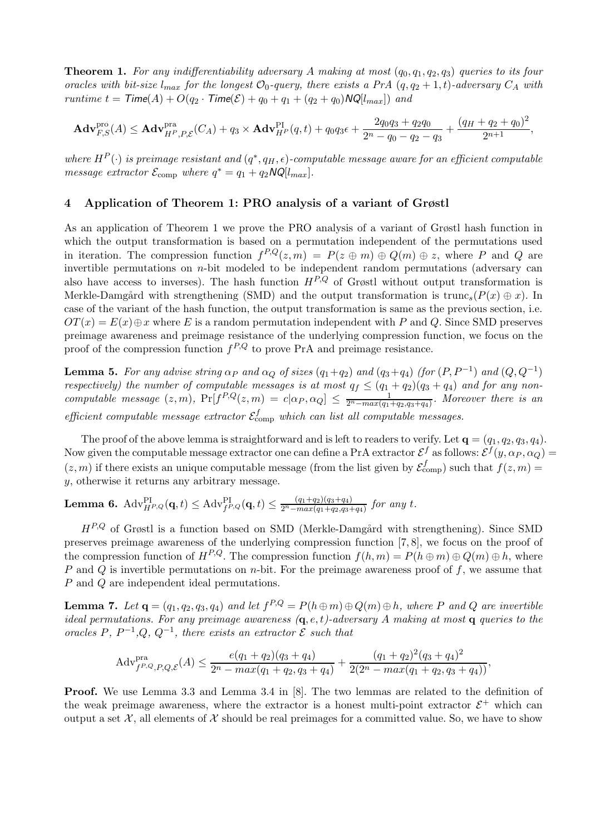**Theorem 1.** For any indifferentiability adversary A making at most  $(q_0, q_1, q_2, q_3)$  queries to its four oracles with bit-size  $l_{max}$  for the longest  $\mathcal{O}_0$ -query, there exists a PrA  $(q, q_2 + 1, t)$ -adversary  $C_A$  with runtime  $t =$  Time(A) +  $O(q_2 \cdot$  Time(E) +  $q_0 + q_1 + (q_2 + q_0)NQ[l_{max}])$  and

$$
\mathbf{Adv}_{F,S}^{\text{pro}}(A) \leq \mathbf{Adv}_{H^P,P,\mathcal{E}}^{\text{pra}}(C_A) + q_3 \times \mathbf{Adv}_{H^P}^{\text{PI}}(q,t) + q_0 q_3 \epsilon + \frac{2q_0 q_3 + q_2 q_0}{2^n - q_0 - q_2 - q_3} + \frac{(q_H + q_2 + q_0)^2}{2^{n+1}},
$$

where  $H^P(\cdot)$  is preimage resistant and  $(q^*, q_H, \epsilon)$ -computable message aware for an efficient computable message extractor  $\mathcal{E}_{\text{comp}}$  where  $q^* = q_1 + q_2 NQ[l_{max}].$ 

### 4 Application of Theorem 1: PRO analysis of a variant of Grøstl

As an application of Theorem 1 we prove the PRO analysis of a variant of Grøstl hash function in which the output transformation is based on a permutation independent of the permutations used in iteration. The compression function  $f^{P,Q}(z,m) = P(z \oplus m) \oplus Q(m) \oplus z$ , where P and Q are invertible permutations on n-bit modeled to be independent random permutations (adversary can also have access to inverses). The hash function  $H^{P,Q}$  of Grøstl without output transformation is Merkle-Damgård with strengthening (SMD) and the output transformation is truncs( $P(x) \oplus x$ ). In case of the variant of the hash function, the output transformation is same as the previous section, i.e.  $OT(x) = E(x) \oplus x$  where E is a random permutation independent with P and Q. Since SMD preserves preimage awareness and preimage resistance of the underlying compression function, we focus on the proof of the compression function  $f^{P,Q}$  to prove PrA and preimage resistance.

**Lemma 5.** For any advise string  $\alpha_P$  and  $\alpha_Q$  of sizes  $(q_1+q_2)$  and  $(q_3+q_4)$  (for  $(P, P^{-1})$  and  $(Q, Q^{-1})$ ) respectively) the number of computable messages is at most  $q_f \leq (q_1 + q_2)(q_3 + q_4)$  and for any noncomputable message  $(z, m)$ ,  $Pr[f^{P,Q}(z,m) = c|\alpha_P, \alpha_Q] \leq \frac{1}{2^n - max(q_1 + q_2, q_3 + q_4)}$ . Moreover there is an efficient computable message extractor  $\mathcal{E}_{\text{comp}}^f$  which can list all computable messages.

The proof of the above lemma is straightforward and is left to readers to verify. Let  $\mathbf{q} = (q_1, q_2, q_3, q_4)$ . Now given the computable message extractor one can define a PrA extractor  $\mathcal{E}^f$  as follows:  $\mathcal{E}^f(y,\alpha_P,\alpha_Q)=$  $(z, m)$  if there exists an unique computable message (from the list given by  $\mathcal{E}^f_{\text{comp}}$ ) such that  $f(z, m)$  = y, otherwise it returns any arbitrary message.

**Lemma 6.** Adv ${}_{H^{P,Q}}^{PI}(\mathbf{q},t) \leq \text{Adv}_{f^{P,Q}}^{PI}(\mathbf{q},t) \leq \frac{(q_1+q_2)(q_3+q_4)}{2^{n}-max(q_1+q_2,q_3+q_4)}$  for any t.

 $H^{P,Q}$  of Grøstl is a function based on SMD (Merkle-Damgård with strengthening). Since SMD preserves preimage awareness of the underlying compression function [7, 8], we focus on the proof of the compression function of  $H^{P,Q}$ . The compression function  $f(h,m) = P(h \oplus m) \oplus Q(m) \oplus h$ , where P and Q is invertible permutations on n-bit. For the preimage awareness proof of  $f$ , we assume that P and Q are independent ideal permutations.

**Lemma 7.** Let  $\mathbf{q} = (q_1, q_2, q_3, q_4)$  and let  $f^{P,Q} = P(h \oplus m) \oplus Q(m) \oplus h$ , where P and Q are invertible ideal permutations. For any preimage awareness  $(q, e, t)$ -adversary A making at most q queries to the oracles P,  $P^{-1}, Q, Q^{-1}$ , there exists an extractor  $\mathcal E$  such that

$$
Adv_{f^{P,Q},P,Q,\mathcal{E}}^{\text{pra}}(A) \le \frac{e(q_1+q_2)(q_3+q_4)}{2^n - max(q_1+q_2, q_3+q_4)} + \frac{(q_1+q_2)^2(q_3+q_4)^2}{2(2^n - max(q_1+q_2, q_3+q_4))},
$$

Proof. We use Lemma 3.3 and Lemma 3.4 in [8]. The two lemmas are related to the definition of the weak preimage awareness, where the extractor is a honest multi-point extractor  $\mathcal{E}^+$  which can output a set  $\mathcal{X}$ , all elements of  $\mathcal{X}$  should be real preimages for a committed value. So, we have to show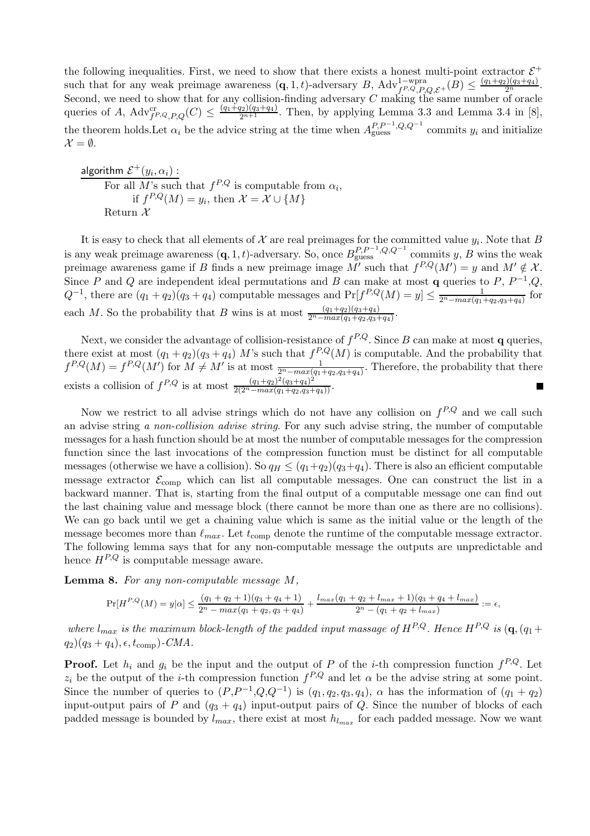the following inequalities. First, we need to show that there exists a honest multi-point extractor  $\mathcal{E}^+$ such that for any weak preimage awareness  $(\mathbf{q}, 1, t)$ -adversary  $B$ ,  $\text{Adv}_{f, Q, P, Q, \mathcal{E}^+}^{1-\text{wpra}}(B) \leq \frac{(q_1+q_2)(q_3+q_4)}{2^n}$ . Second, we need to show that for any collision-finding adversary  $C$  making the same number of oracle queries of A,  $\text{Adv}_{f^P,Q,P,Q}^{\text{cr}}(C) \leq \frac{(q_1+q_2)(q_3+q_4)}{2^{n+1}}$ . Then, by applying Lemma 3.3 and Lemma 3.4 in [8], the theorem holds. Let  $\alpha_i$  be the advice string at the time when  $A_{\text{guess}}^{P,P^{-1},Q,Q^{-1}}$  commits  $y_i$  and initialize  $\mathcal{X} = \emptyset$ .

algorithm  $\mathcal{E}^+(y_i,\alpha_i)$  : For all M's such that  $f^{P,Q}$  is computable from  $\alpha_i$ , if  $f^{P,Q}(M) = y_i$ , then  $\mathcal{X} = \mathcal{X} \cup \{M\}$ Return  $\mathcal{X}$ 

It is easy to check that all elements of  $\mathcal X$  are real preimages for the committed value  $y_i$ . Note that  $B$ is any weak preimage awareness  $(q, 1, t)$ -adversary. So, once  $B_{\text{guess}}^{P, P^{-1}, Q, Q^{-1}}$  commits y, B wins the weak preimage awareness game if B finds a new preimage image  $M'$  such that  $f^{P,Q}(M') = y$  and  $M' \notin \mathcal{X}$ . Since P and Q are independent ideal permutations and B can make at most q queries to P,  $P^{-1}, Q$ ,  $Q^{-1}$ , there are  $(q_1 + q_2)(q_3 + q_4)$  computable messages and  $Pr[f^{P,Q}(M) = y] \le \frac{1}{2^n - max(q_1 + q_2, q_3 + q_4)}$  for each M. So the probability that B wins is at most  $\frac{(q_1+q_2)(q_3+q_4)}{2^n - max(q_1+q_2,q_3+q_4)}$ .

Next, we consider the advantage of collision-resistance of  $f^{P,Q}$ . Since B can make at most **q** queries, there exist at most  $(q_1+q_2)(q_3+q_4)$  M's such that  $f^{P,Q}(M)$  is computable. And the probability that  $f^{P,Q}(M) = f^{P,Q}(M')$  for  $M \neq M'$  is at most  $\frac{1}{2^n - max(q_1 + q_2, q_3 + q_4)}$ . Therefore, the probability that there exists a collision of  $f^{P,Q}$  is at most  $\frac{(q_1+q_2)^2(q_3+q_4)^2}{2(2^n - max(q_1+q_2,q_3+q_4))}$ .

Now we restrict to all advise strings which do not have any collision on  $f^{P,Q}$  and we call such an advise string a non-collision advise string. For any such advise string, the number of computable messages for a hash function should be at most the number of computable messages for the compression function since the last invocations of the compression function must be distinct for all computable messages (otherwise we have a collision). So  $q_H \leq (q_1+q_2)(q_3+q_4)$ . There is also an efficient computable message extractor  $\mathcal{E}_{\text{comp}}$  which can list all computable messages. One can construct the list in a backward manner. That is, starting from the final output of a computable message one can find out the last chaining value and message block (there cannot be more than one as there are no collisions). We can go back until we get a chaining value which is same as the initial value or the length of the message becomes more than  $\ell_{max}$ . Let  $t_{comp}$  denote the runtime of the computable message extractor. The following lemma says that for any non-computable message the outputs are unpredictable and hence  $H^{P,Q}$  is computable message aware.

Lemma 8. For any non-computable message M,

$$
\Pr[H^{P,Q}(M) = y|\alpha] \le \frac{(q_1+q_2+1)(q_3+q_4+1)}{2^n - max(q_1+q_2,q_3+q_4)} + \frac{l_{max}(q_1+q_2+l_{max}+1)(q_3+q_4+l_{max})}{2^n - (q_1+q_2+l_{max})} := \epsilon,
$$

where  $l_{max}$  is the maximum block-length of the padded input massage of  $H^{P,Q}$ . Hence  $H^{P,Q}$  is  $(\mathbf{q},(q_1+$  $(q_2)(q_3+q_4), \epsilon, t_{\text{comp}})$ -CMA.

**Proof.** Let  $h_i$  and  $g_i$  be the input and the output of P of the *i*-th compression function  $f^{P,Q}$ . Let  $z_i$  be the output of the *i*-th compression function  $f^{P,Q}$  and let  $\alpha$  be the advise string at some point. Since the number of queries to  $(P,P^{-1},Q,Q^{-1})$  is  $(q_1,q_2,q_3,q_4)$ ,  $\alpha$  has the information of  $(q_1 + q_2)$ input-output pairs of P and  $(q_3 + q_4)$  input-output pairs of Q. Since the number of blocks of each padded message is bounded by  $l_{max}$ , there exist at most  $h_{l_{max}}$  for each padded message. Now we want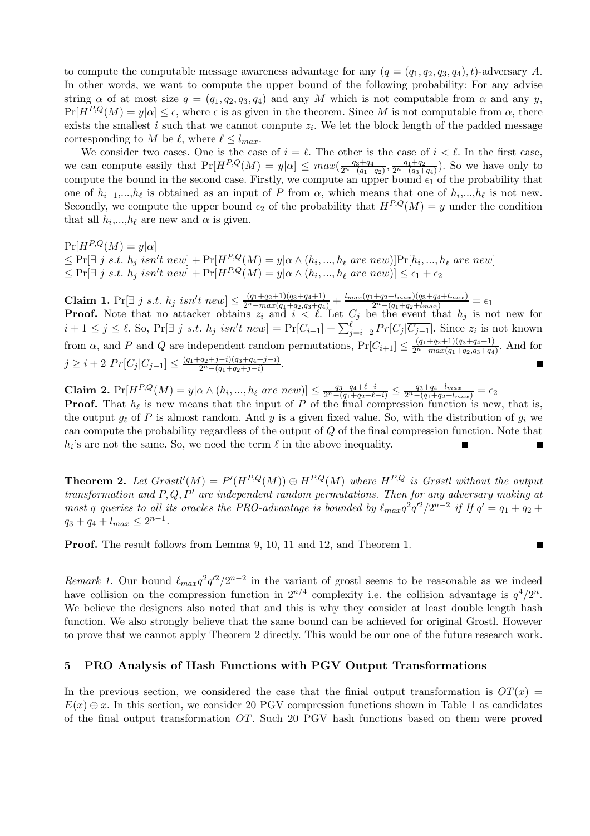to compute the computable message awareness advantage for any  $(q = (q_1, q_2, q_3, q_4), t)$ -adversary A. In other words, we want to compute the upper bound of the following probability: For any advise string  $\alpha$  of at most size  $q = (q_1, q_2, q_3, q_4)$  and any M which is not computable from  $\alpha$  and any y,  $Pr[H^{P,Q}(M) = y|\alpha] \leq \epsilon$ , where  $\epsilon$  is as given in the theorem. Since M is not computable from  $\alpha$ , there exists the smallest i such that we cannot compute  $z_i$ . We let the block length of the padded message corresponding to M be  $\ell$ , where  $\ell \leq l_{max}$ .

We consider two cases. One is the case of  $i = \ell$ . The other is the case of  $i < \ell$ . In the first case, we can compute easily that  $Pr[H^{P,Q}(M) = y | \alpha] \leq max(\frac{q_3+q_4}{2^n-(q_1+q_2)}, \frac{q_1+q_2}{2^n-(q_3+q_4)})$ . So we have only to compute the bound in the second case. Firstly, we compute an upper bound  $\epsilon_1$  of the probability that one of  $h_{i+1},...,h_{\ell}$  is obtained as an input of P from  $\alpha$ , which means that one of  $h_i,...,h_{\ell}$  is not new. Secondly, we compute the upper bound  $\epsilon_2$  of the probability that  $H^{P,Q}(M) = y$  under the condition that all  $h_i, \ldots, h_\ell$  are new and  $\alpha$  is given.

 $Pr[H^{P,Q}(M) = y|\alpha]$  $\leq \Pr[\exists j \ s.t. \ h_j \ isn't \ new] + \Pr[H^{P,Q}(M) = y | \alpha \wedge (h_i, ..., h_\ell \ are \ new)] \Pr[h_i, ..., h_\ell \ are \ new]$  $\leq \Pr[\exists j \; s.t. \; h_j \; isn't \; new] + \Pr[H^{P,Q}(M) = y | \alpha \wedge (h_i, ..., h_\ell \; are \; new)] \leq \epsilon_1 + \epsilon_2$ 

Claim 1. Pr[∃ j s.t.  $h_j$  isn't new]  $\leq \frac{(q_1+q_2+1)(q_3+q_4+1)}{2^n - max(q_1+q_2,q_3+q_4)} + \frac{l_{max}(q_1+q_2+l_{max})(q_3+q_4+l_{max})}{2^n - (q_1+q_2+l_{max})} = \epsilon_1$ **Proof.** Note that no attacker obtains  $z_i$  and  $i \leq \ell$ . Let  $C_j$  be the event that  $h_j$  is not new for  $i+1 \leq j \leq \ell$ . So, Pr[ $\exists j \; s.t. \; h_j \; isn't \; new$ ] = Pr[ $C_{i+1}$ ] +  $\sum_{j=i+2}^{\ell} Pr[C_j|\overline{C_{j-1}}]$ . Since  $z_i$  is not known from  $\alpha$ , and P and Q are independent random permutations,  $Pr[C_{i+1}] \leq \frac{(q_1+q_2+1)(q_3+q_4+1)}{2^n - max(q_1+q_2,q_3+q_4)}$ . And for  $j \geq i + 2 Pr[C_j|\overline{C_{j-1}}] \leq \frac{(q_1+q_2+j-i)(q_3+q_4+j-i)}{2^n-(q_1+q_2+j-i)}$  $\frac{(q_2+j-i)(q_3+q_4+j-i)}{2^n-(q_1+q_2+j-i)}.$ 

Claim 2.  $Pr[H^{P,Q}(M) = y | \alpha \wedge (h_i, ..., h_\ell \text{ are new})] \leq \frac{q_3 + q_4 + \ell - i}{2^n - (q_1 + q_2 + \ell - i)} \leq \frac{q_3 + q_4 + l_{max}}{2^n - (q_1 + q_2 + l_{max})} = \epsilon_2$ **Proof.** That  $h_{\ell}$  is new means that the input of P of the final compression function is new, that is, the output  $g_{\ell}$  of P is almost random. And y is a given fixed value. So, with the distribution of  $g_i$  we can compute the probability regardless of the output of Q of the final compression function. Note that  $h_i$ 's are not the same. So, we need the term  $\ell$  in the above inequality. Г

**Theorem 2.** Let  $Grøstl'(M) = P'(H^{P,Q}(M)) \oplus H^{P,Q}(M)$  where  $H^{P,Q}$  is Grøstl without the output transformation and  $P, Q, P'$  are independent random permutations. Then for any adversary making at most q queries to all its oracles the PRO-advantage is bounded by  $\ell_{max}q^2q'^2/2^{n-2}$  if If  $q' = q_1 + q_2 +$  $q_3 + q_4 + l_{max} \leq 2^{n-1}.$ 

 $\blacksquare$ 

Proof. The result follows from Lemma 9, 10, 11 and 12, and Theorem 1.

Remark 1. Our bound  $\ell_{max}q^2q'^2/2^{n-2}$  in the variant of grostl seems to be reasonable as we indeed have collision on the compression function in  $2^{n/4}$  complexity i.e. the collision advantage is  $q^4/2^n$ . We believe the designers also noted that and this is why they consider at least double length hash function. We also strongly believe that the same bound can be achieved for original Grostl. However to prove that we cannot apply Theorem 2 directly. This would be our one of the future research work.

## 5 PRO Analysis of Hash Functions with PGV Output Transformations

In the previous section, we considered the case that the finial output transformation is  $OT(x)$  =  $E(x) \oplus x$ . In this section, we consider 20 PGV compression functions shown in Table 1 as candidates of the final output transformation OT. Such 20 PGV hash functions based on them were proved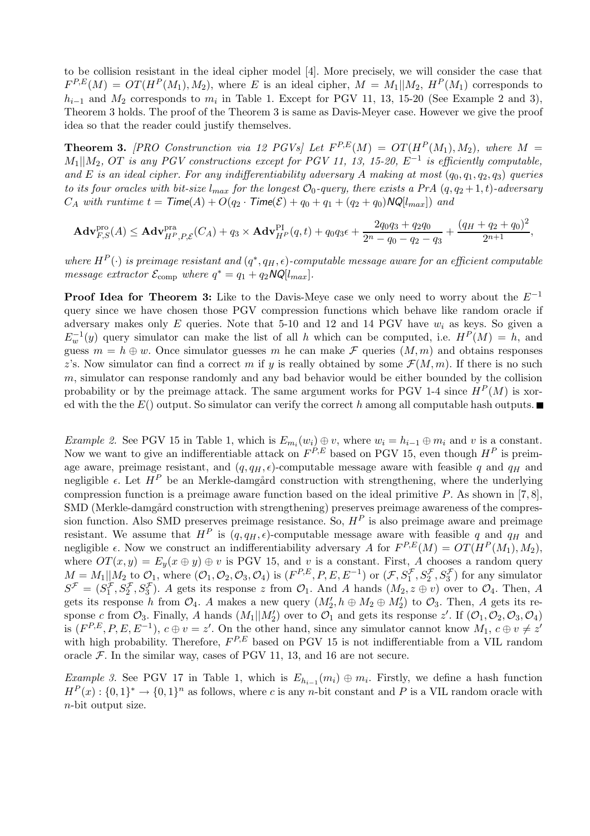to be collision resistant in the ideal cipher model [4]. More precisely, we will consider the case that  $F^{P,E}(M) = OT(H^P(M_1), M_2)$ , where E is an ideal cipher,  $M = M_1||M_2$ ,  $H^P(M_1)$  corresponds to  $h_{i-1}$  and  $M_2$  corresponds to  $m_i$  in Table 1. Except for PGV 11, 13, 15-20 (See Example 2 and 3), Theorem 3 holds. The proof of the Theorem 3 is same as Davis-Meyer case. However we give the proof idea so that the reader could justify themselves.

**Theorem 3.** [PRO Construnction via 12 PGVs] Let  $F^{P,E}(M) = OT(H^P(M_1), M_2)$ , where  $M =$  $M_1||M_2$ , OT is any PGV constructions except for PGV 11, 13, 15-20,  $E^{-1}$  is efficiently computable, and E is an ideal cipher. For any indifferentiability adversary A making at most  $(q_0, q_1, q_2, q_3)$  queries to its four oracles with bit-size  $l_{max}$  for the longest  $\mathcal{O}_0$ -query, there exists a PrA  $(q, q_2+1, t)$ -adversary  $C_A$  with runtime  $t = \mathsf{Time}(A) + O(q_2 \cdot \mathsf{Time}(\mathcal{E}) + q_0 + q_1 + (q_2 + q_0) \mathsf{NQ}[l_{max}])$  and

$$
\mathbf{Adv}_{F,S}^{\mathrm{pro}}(A) \leq \mathbf{Adv}_{H^P,P,\mathcal{E}}^{\mathrm{pra}}(C_A) + q_3 \times \mathbf{Adv}_{H^P}^{\mathrm{PI}}(q,t) + q_0 q_3 \epsilon + \frac{2q_0 q_3 + q_2 q_0}{2^n - q_0 - q_2 - q_3} + \frac{(q_H + q_2 + q_0)^2}{2^{n+1}},
$$

where  $H^P(\cdot)$  is preimage resistant and  $(q^*, q_H, \epsilon)$ -computable message aware for an efficient computable message extractor  $\mathcal{E}_{\text{comp}}$  where  $q^* = q_1 + q_2 NQ[l_{max}].$ 

**Proof Idea for Theorem 3:** Like to the Davis-Meye case we only need to worry about the  $E^{-1}$ query since we have chosen those PGV compression functions which behave like random oracle if adversary makes only  $E$  queries. Note that 5-10 and 12 and 14 PGV have  $w_i$  as keys. So given a  $E_w^{-1}(y)$  query simulator can make the list of all h which can be computed, i.e.  $H^P(M) = h$ , and guess  $m = h \oplus w$ . Once simulator guesses m he can make F queries  $(M, m)$  and obtains responses z's. Now simulator can find a correct m if y is really obtained by some  $\mathcal{F}(M,m)$ . If there is no such  $m$ , simulator can response randomly and any bad behavior would be either bounded by the collision probability or by the preimage attack. The same argument works for PGV 1-4 since  $H^P(M)$  is xored with the the  $E()$  output. So simulator can verify the correct h among all computable hash outputs.

*Example 2.* See PGV 15 in Table 1, which is  $E_{m_i}(w_i) \oplus v$ , where  $w_i = h_{i-1} \oplus m_i$  and v is a constant. Now we want to give an indifferentiable attack on  $F^{P,E}$  based on PGV 15, even though  $H^P$  is preimage aware, preimage resistant, and  $(q, q_H, \epsilon)$ -computable message aware with feasible q and  $q_H$  and negligible  $\epsilon$ . Let  $H^P$  be an Merkle-damgård construction with strengthening, where the underlying compression function is a preimage aware function based on the ideal primitive  $P$ . As shown in [7, 8], SMD (Merkle-damgård construction with strengthening) preserves preimage awareness of the compression function. Also SMD preserves preimage resistance. So,  $H<sup>P</sup>$  is also preimage aware and preimage resistant. We assume that  $H^P$  is  $(q, q_H, \epsilon)$ -computable message aware with feasible q and  $q_H$  and negligible  $\epsilon$ . Now we construct an indifferentiability adversary A for  $F^{P,E}(M) = OT(H^P(M_1), M_2)$ , where  $OT(x, y) = E_y(x \oplus y) \oplus v$  is PGV 15, and v is a constant. First, A chooses a random query  $M = M_1 || M_2$  to  $\mathcal{O}_1$ , where  $(\mathcal{O}_1, \mathcal{O}_2, \mathcal{O}_3, \mathcal{O}_4)$  is  $(F^{P,E}, P, E, E^{-1})$  or  $(\mathcal{F}, S_1^{\mathcal{F}}, S_2^{\mathcal{F}}, S_3^{\mathcal{F}})$  for any simulator  $S^{\mathcal{F}} = (S_1^{\mathcal{F}})$  $1, S_2^{\mathcal{F}}, S_3^{\mathcal{F}}$ ). A gets its response z from  $\mathcal{O}_1$ . And A hands  $(M_2, z \oplus v)$  over to  $\mathcal{O}_4$ . Then, A gets its response h from  $\mathcal{O}_4$ . A makes a new query  $(M'_2, h \oplus M_2 \oplus M'_2)$  to  $\mathcal{O}_3$ . Then, A gets its response c from  $\mathcal{O}_3$ . Finally, A hands  $(M_1||M'_2)$  over to  $\mathcal{O}_1$  and gets its response z'. If  $(\mathcal{O}_1, \mathcal{O}_2, \mathcal{O}_3, \mathcal{O}_4)$ is  $(F^{P,E}, P, E, E^{-1}), c \oplus v = z'$ . On the other hand, since any simulator cannot know  $M_1, c \oplus v \neq z'$ with high probability. Therefore,  $F^{P,E}$  based on PGV 15 is not indifferentiable from a VIL random oracle  $\mathcal F$ . In the similar way, cases of PGV 11, 13, and 16 are not secure.

*Example 3.* See PGV 17 in Table 1, which is  $E_{h_{i-1}}(m_i) \oplus m_i$ . Firstly, we define a hash function  $H^P(x): \{0,1\}^* \to \{0,1\}^n$  as follows, where c is any n-bit constant and P is a VIL random oracle with n-bit output size.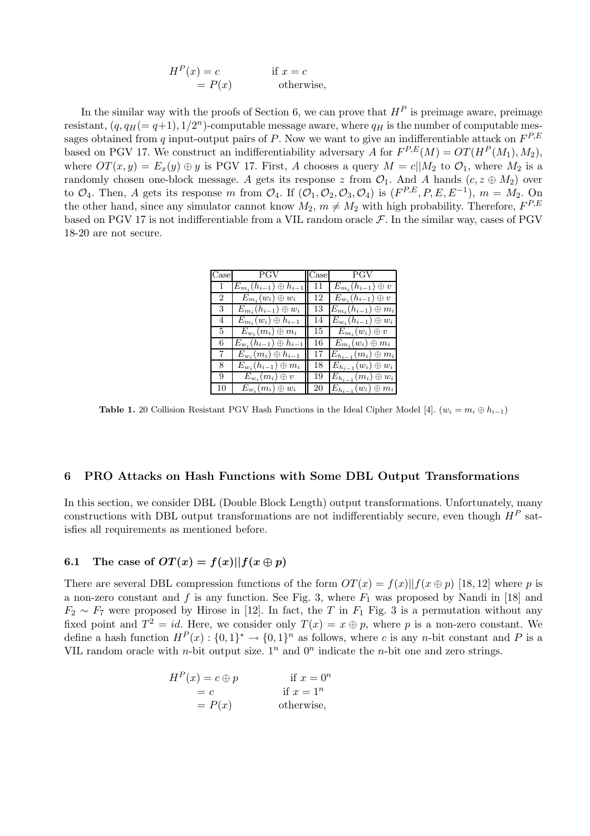$$
HP(x) = c
$$
 if  $x = c$   
=  $P(x)$  otherwise,

In the similar way with the proofs of Section 6, we can prove that  $H<sup>P</sup>$  is preimage aware, preimage resistant,  $(q, q_H (= q+1), 1/2^n)$ -computable message aware, where  $q_H$  is the number of computable messages obtained from q input-output pairs of P. Now we want to give an indifferentiable attack on  $F^{P,E}$ based on PGV 17. We construct an indifferentiability adversary A for  $F^{P,E}(M) = OT(H^P(M_1), M_2)$ , where  $OT(x, y) = E_x(y) \oplus y$  is PGV 17. First, A chooses a query  $M = c||M_2$  to  $\mathcal{O}_1$ , where  $M_2$  is a randomly chosen one-block message. A gets its response z from  $\mathcal{O}_1$ . And A hands  $(c, z \oplus M_2)$  over to  $\mathcal{O}_4$ . Then, A gets its response m from  $\mathcal{O}_4$ . If  $(\mathcal{O}_1, \mathcal{O}_2, \mathcal{O}_3, \mathcal{O}_4)$  is  $(F^{P,E}, P, E, E^{-1})$ ,  $m = M_2$ . On the other hand, since any simulator cannot know  $M_2$ ,  $m \neq M_2$  with high probability. Therefore,  $F^{P,E}$ based on PGV 17 is not indifferentiable from a VIL random oracle  $\mathcal{F}$ . In the similar way, cases of PGV 18-20 are not secure.

|                | Case PGV                         |    | $\csc$ PGV                    |
|----------------|----------------------------------|----|-------------------------------|
| 1              | $E_{m_i}(h_{i-1})\oplus h_{i-1}$ | 11 | $E_{m_i}(h_{i-1})\oplus v$    |
| $\overline{2}$ | $E_{m_i}(w_i) \oplus w_i$        | 12 | $E_{w_i}(h_{i-1})\oplus v$    |
| 3              | $E_{m_i}(h_{i-1})\oplus w_i$     | 13 | $E_{m_i}(h_{i-1})\oplus m_i$  |
| $\overline{4}$ | $E_{m_i}(w_i) \oplus h_{i-1}$    | 14 | $E_{w_i}(h_{i-1})\oplus w_i$  |
| 5.             | $E_{w_i}(m_i) \oplus m_i$        | 15 | $E_{m_i}(w_i) \oplus v_i$     |
| 6              | $E_{w_i}(h_{i-1})\oplus h_{i-1}$ | 16 | $E_{m_i}(w_i) \oplus m_i$     |
| 7              | $E_{w_i}(m_i) \oplus h_{i-1}$    | 17 | $E_{h_{i-1}}(m_i)\oplus m_i$  |
| 8.             | $E_{w_i}(h_{i-1})\oplus m_i$     | 18 | $E_{h_{i-1}}(w_i) \oplus w_i$ |
| 9              | $E_{w_i}(m_i) \oplus v$          | 19 | $E_{h_{i-1}}(m_i)\oplus w_i$  |
| 10             | $E_{w_i}(m_i) \oplus w_i$        | 20 | $E_{h_{i-1}}(w_i)\oplus m_i$  |

**Table 1.** 20 Collision Resistant PGV Hash Functions in the Ideal Cipher Model [4].  $(w_i = m_i \oplus h_{i-1})$ 

#### 6 PRO Attacks on Hash Functions with Some DBL Output Transformations

In this section, we consider DBL (Double Block Length) output transformations. Unfortunately, many constructions with DBL output transformations are not indifferentiably secure, even though  $H^P$  satisfies all requirements as mentioned before.

# 6.1 The case of  $OT(x) = f(x)||f(x \oplus p)$

There are several DBL compression functions of the form  $OT(x) = f(x)||f(x \oplus p)|$  [18, 12] where p is a non-zero constant and f is any function. See Fig. 3, where  $F_1$  was proposed by Nandi in [18] and  $F_2 \sim F_7$  were proposed by Hirose in [12]. In fact, the T in  $F_1$  Fig. 3 is a permutation without any fixed point and  $T^2 = id$ . Here, we consider only  $T(x) = x \oplus p$ , where p is a non-zero constant. We define a hash function  $H^P(x)$ :  $\{0,1\}^* \to \{0,1\}^n$  as follows, where c is any n-bit constant and P is a VIL random oracle with *n*-bit output size.  $1^n$  and  $0^n$  indicate the *n*-bit one and zero strings.

$$
HP(x) = c \oplus p \qquad \text{if } x = 0^n
$$
  
= c \qquad \text{if } x = 1^n  
= P(x) \qquad \text{otherwise,}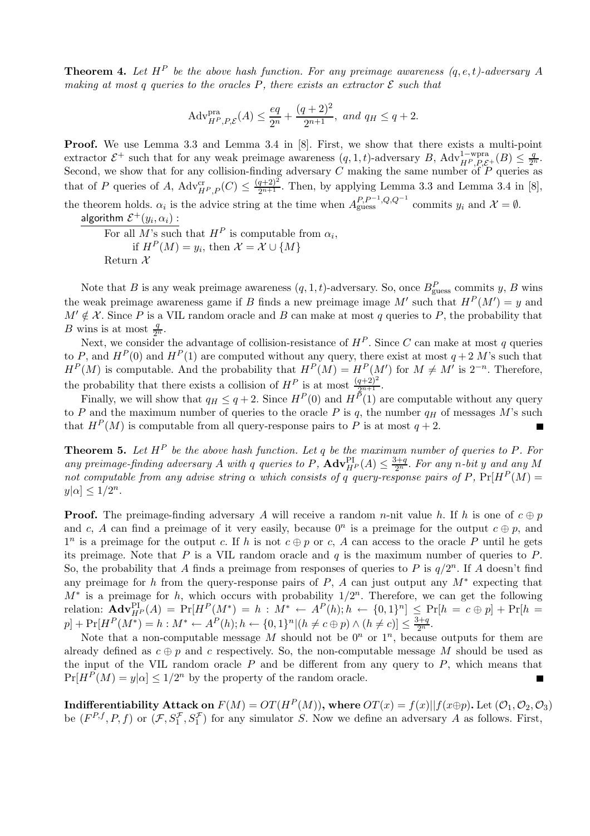**Theorem 4.** Let  $H^P$  be the above hash function. For any preimage awareness  $(q, e, t)$ -adversary A making at most q queries to the oracles P, there exists an extractor  $\mathcal E$  such that

$$
Adv_{H^{P},P,\mathcal{E}}^{\text{pra}}(A) \le \frac{eq}{2^{n}} + \frac{(q+2)^{2}}{2^{n+1}}, \text{ and } q_{H} \le q+2.
$$

Proof. We use Lemma 3.3 and Lemma 3.4 in [8]. First, we show that there exists a multi-point extractor  $\mathcal{E}^+$  such that for any weak preimage awareness  $(q, 1, t)$ -adversary B, Adv $_{H^P, P, \mathcal{E}^+}^{1-\text{wpra}}(B) \leq \frac{q}{2^n}$ . Second, we show that for any collision-finding adversary C making the same number of  $P$  queries as that of P queries of A,  $\text{Adv}_{HP,P}^{\text{cr}}(C) \leq \frac{(q+2)^2}{2^{n+1}}$ . Then, by applying Lemma 3.3 and Lemma 3.4 in [8], the theorem holds.  $\alpha_i$  is the advice string at the time when  $A_{\text{guess}}^{P,P^{-1},Q,Q^{-1}}$  commits  $y_i$  and  $\mathcal{X} = \emptyset$ . algorithm  $\mathcal{E}^+(y_i,\alpha_i)$  :

For all M's such that  $H^P$  is computable from  $\alpha_i$ , if  $H^P(M) = y_i$ , then  $\mathcal{X} = \mathcal{X} \cup \{M\}$ Return  $\mathcal{X}$ 

Note that B is any weak preimage awareness  $(q, 1, t)$ -adversary. So, once  $B_{\text{guess}}^P$  commits y, B wins the weak preimage awareness game if B finds a new preimage image M' such that  $H^P(M') = y$  and  $M' \notin \mathcal{X}$ . Since P is a VIL random oracle and B can make at most q queries to P, the probability that B wins is at most  $\frac{q}{2^n}$ .

Next, we consider the advantage of collision-resistance of  $H^P$ . Since C can make at most q queries to P, and  $H^P(0)$  and  $H^P(1)$  are computed without any query, there exist at most  $q+2$  M's such that  $H^P(M)$  is computable. And the probability that  $H^P(M) = H^P(M')$  for  $M \neq M'$  is  $2^{-n}$ . Therefore, the probability that there exists a collision of  $H^P$  is at most  $\frac{(q+2)^2}{2^{n+1}}$ .

Finally, we will show that  $q_H \leq q+2$ . Since  $H^P(0)$  and  $H^{\bar{P}}(1)$  are computable without any query to P and the maximum number of queries to the oracle P is q, the number  $q_H$  of messages M's such that  $H^P(M)$  is computable from all query-response pairs to P is at most  $q+2$ .

**Theorem 5.** Let  $H^P$  be the above hash function. Let q be the maximum number of queries to P. For any preimage-finding adversary A with q queries to P,  $\mathbf{Adv}_{H^P}^{\Pi}(A) \leq \frac{3+q}{2^n}$ . For any n-bit y and any M not computable from any advise string  $\alpha$  which consists of q query-response pairs of P,  $Pr[H^P(M)] =$  $y|\alpha| \leq 1/2^n$ .

**Proof.** The preimage-finding adversary A will receive a random n-nit value h. If h is one of  $c \oplus p$ and c, A can find a preimage of it very easily, because  $0<sup>n</sup>$  is a preimage for the output  $c \oplus p$ , and  $1^n$  is a preimage for the output c. If h is not  $c \oplus p$  or c, A can access to the oracle P until he gets its preimage. Note that  $P$  is a VIL random oracle and  $q$  is the maximum number of queries to  $P$ . So, the probability that A finds a preimage from responses of queries to P is  $q/2^n$ . If A doesn't find any preimage for h from the query-response pairs of P, A can just output any  $M^*$  expecting that  $M^*$  is a preimage for h, which occurs with probability  $1/2^n$ . Therefore, we can get the following relation:  $\mathbf{Adv}_{H^P}^{\text{PI}}(A) = \Pr[H^P(M^*) = h : M^* \leftarrow A^P(h); h \leftarrow \{0, 1\}^n] \leq \Pr[h = c \oplus p] + \Pr[h = p]$  $p] + \Pr[H^P(M^*) = h : M^* \leftarrow A^P(h); h \leftarrow \{0, 1\}^n | (h \neq c \oplus p) \wedge (h \neq c) ] \leq \frac{3+q}{2^n}.$ 

Note that a non-computable message M should not be  $0<sup>n</sup>$  or  $1<sup>n</sup>$ , because outputs for them are already defined as  $c \oplus p$  and c respectively. So, the non-computable message M should be used as the input of the VIL random oracle  $P$  and be different from any query to  $P$ , which means that  $Pr[H^P(M) = y|\alpha] \leq 1/2^n$  by the property of the random oracle.

Indifferentiability Attack on  $F(M) = OT(H^P(M))$ , where  $OT(x) = f(x)||f(x+p)$ . Let  $(\mathcal{O}_1, \mathcal{O}_2, \mathcal{O}_3)$ be  $(F^{P,f}, P, f)$  or  $(\mathcal{F}, S_1^{\mathcal{F}}, S_1^{\mathcal{F}})$  for any simulator S. Now we define an adversary A as follows. First,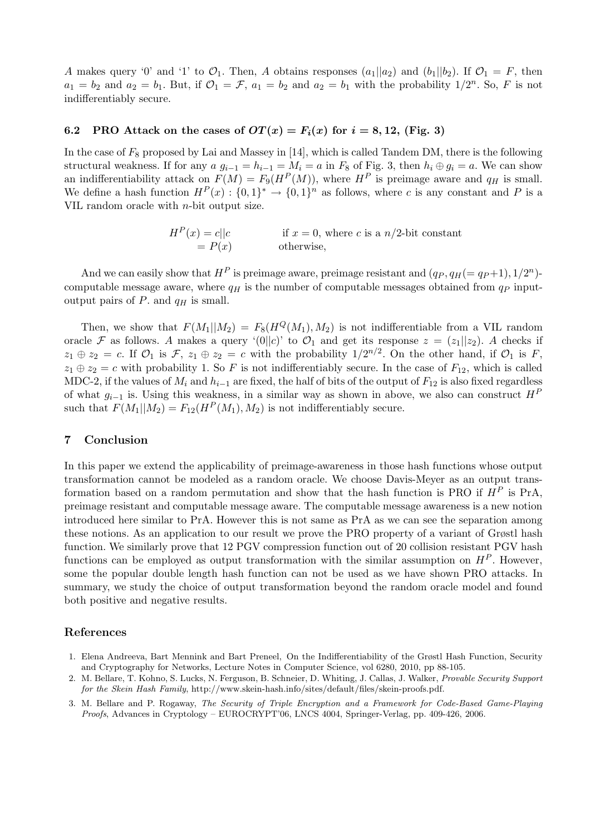A makes query '0' and '1' to  $\mathcal{O}_1$ . Then, A obtains responses  $(a_1||a_2)$  and  $(b_1||b_2)$ . If  $\mathcal{O}_1 = F$ , then  $a_1 = b_2$  and  $a_2 = b_1$ . But, if  $\mathcal{O}_1 = \mathcal{F}$ ,  $a_1 = b_2$  and  $a_2 = b_1$  with the probability  $1/2^n$ . So, F is not indifferentiably secure.

### 6.2 PRO Attack on the cases of  $OT(x) = F_i(x)$  for  $i = 8, 12,$  (Fig. 3)

In the case of  $F_8$  proposed by Lai and Massey in [14], which is called Tandem DM, there is the following structural weakness. If for any  $a g_{i-1} = h_{i-1} = M_i = a$  in  $F_8$  of Fig. 3, then  $h_i \oplus g_i = a$ . We can show an indifferentiability attack on  $F(M) = F_9(H^P(M))$ , where  $H^P$  is preimage aware and  $q_H$  is small. We define a hash function  $H^P(x) : \{0,1\}^* \to \{0,1\}^n$  as follows, where c is any constant and P is a VIL random oracle with  $n$ -bit output size.

> $H<sup>P</sup>(x) = c||c$  if  $x = 0$ , where c is a n/2-bit constant  $= P(x)$  otherwise,

And we can easily show that  $H^P$  is preimage aware, preimage resistant and  $(q_P, q_H (= q_P + 1), 1/2^n)$ computable message aware, where  $q_H$  is the number of computable messages obtained from  $q_P$  inputoutput pairs of  $P$ . and  $q_H$  is small.

Then, we show that  $F(M_1||M_2) = F_8(H^Q(M_1), M_2)$  is not indifferentiable from a VIL random oracle F as follows. A makes a query '(0||c)' to  $\mathcal{O}_1$  and get its response  $z = (z_1||z_2)$ . A checks if  $z_1 \oplus z_2 = c$ . If  $\mathcal{O}_1$  is  $\mathcal{F}, z_1 \oplus z_2 = c$  with the probability  $1/2^{n/2}$ . On the other hand, if  $\mathcal{O}_1$  is  $F$ ,  $z_1 \oplus z_2 = c$  with probability 1. So F is not indifferentiably secure. In the case of  $F_{12}$ , which is called MDC-2, if the values of  $M_i$  and  $h_{i-1}$  are fixed, the half of bits of the output of  $F_{12}$  is also fixed regardless of what  $g_{i-1}$  is. Using this weakness, in a similar way as shown in above, we also can construct  $H^P$ such that  $F(M_1||M_2) = F_{12}(H^P(M_1), M_2)$  is not indifferentiably secure.

## 7 Conclusion

In this paper we extend the applicability of preimage-awareness in those hash functions whose output transformation cannot be modeled as a random oracle. We choose Davis-Meyer as an output transformation based on a random permutation and show that the hash function is PRO if  $H^P$  is PrA. preimage resistant and computable message aware. The computable message awareness is a new notion introduced here similar to PrA. However this is not same as PrA as we can see the separation among these notions. As an application to our result we prove the PRO property of a variant of Grøstl hash function. We similarly prove that 12 PGV compression function out of 20 collision resistant PGV hash functions can be employed as output transformation with the similar assumption on  $H^P$ . However, some the popular double length hash function can not be used as we have shown PRO attacks. In summary, we study the choice of output transformation beyond the random oracle model and found both positive and negative results.

#### References

- 1. Elena Andreeva, Bart Mennink and Bart Preneel, On the Indifferentiability of the Grøstl Hash Function, Security and Cryptography for Networks, Lecture Notes in Computer Science, vol 6280, 2010, pp 88-105.
- 2. M. Bellare, T. Kohno, S. Lucks, N. Ferguson, B. Schneier, D. Whiting, J. Callas, J. Walker, Provable Security Support for the Skein Hash Family, http://www.skein-hash.info/sites/default/files/skein-proofs.pdf.
- 3. M. Bellare and P. Rogaway, The Security of Triple Encryption and a Framework for Code-Based Game-Playing Proofs, Advances in Cryptology – EUROCRYPT'06, LNCS 4004, Springer-Verlag, pp. 409-426, 2006.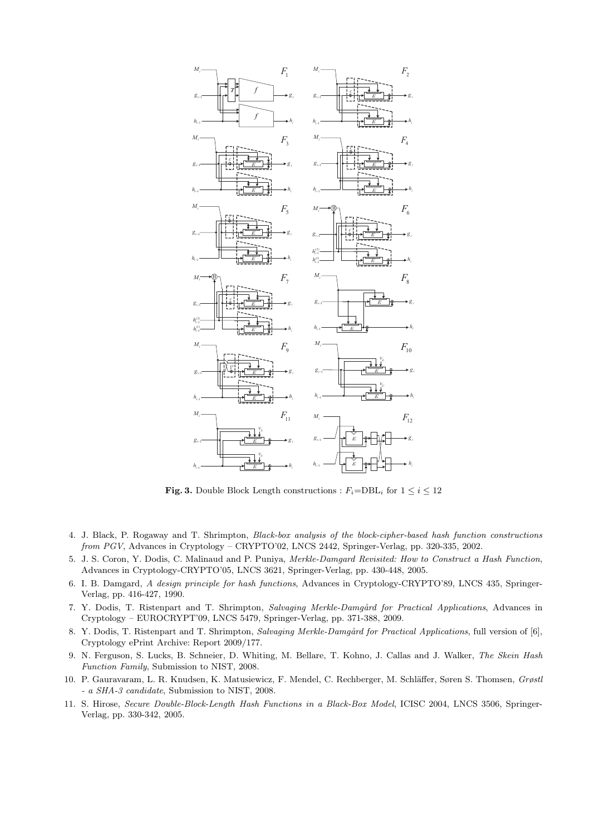

**Fig. 3.** Double Block Length constructions :  $F_i = \text{DBL}_i$  for  $1 \leq i \leq 12$ 

- 4. J. Black, P. Rogaway and T. Shrimpton, Black-box analysis of the block-cipher-based hash function constructions from PGV, Advances in Cryptology – CRYPTO'02, LNCS 2442, Springer-Verlag, pp. 320-335, 2002.
- 5. J. S. Coron, Y. Dodis, C. Malinaud and P. Puniya, Merkle-Damgard Revisited: How to Construct a Hash Function, Advances in Cryptology-CRYPTO'05, LNCS 3621, Springer-Verlag, pp. 430-448, 2005.
- 6. I. B. Damgard, A design principle for hash functions, Advances in Cryptology-CRYPTO'89, LNCS 435, Springer-Verlag, pp. 416-427, 1990.
- 7. Y. Dodis, T. Ristenpart and T. Shrimpton, Salvaging Merkle-Damgård for Practical Applications, Advances in Cryptology – EUROCRYPT'09, LNCS 5479, Springer-Verlag, pp. 371-388, 2009.
- 8. Y. Dodis, T. Ristenpart and T. Shrimpton, Salvaging Merkle-Damgård for Practical Applications, full version of [6], Cryptology ePrint Archive: Report 2009/177.
- 9. N. Ferguson, S. Lucks, B. Schneier, D. Whiting, M. Bellare, T. Kohno, J. Callas and J. Walker, The Skein Hash Function Family, Submission to NIST, 2008.
- 10. P. Gauravaram, L. R. Knudsen, K. Matusiewicz, F. Mendel, C. Rechberger, M. Schläffer, Søren S. Thomsen, Grøstl - a SHA-3 candidate, Submission to NIST, 2008.
- 11. S. Hirose, Secure Double-Block-Length Hash Functions in a Black-Box Model, ICISC 2004, LNCS 3506, Springer-Verlag, pp. 330-342, 2005.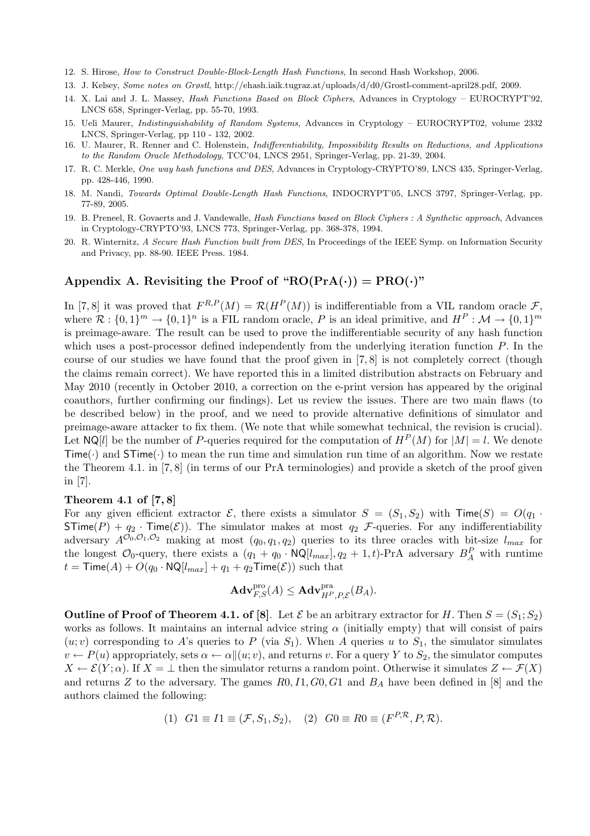- 12. S. Hirose, How to Construct Double-Block-Length Hash Functions, In second Hash Workshop, 2006.
- 13. J. Kelsey, Some notes on Grøstl, http://ehash.iaik.tugraz.at/uploads/d/d0/Grostl-comment-april28.pdf, 2009.
- 14. X. Lai and J. L. Massey, Hash Functions Based on Block Ciphers, Advances in Cryptology EUROCRYPT'92, LNCS 658, Springer-Verlag, pp. 55-70, 1993.
- 15. Ueli Maurer, Indistinguishability of Random Systems, Advances in Cryptology EUROCRYPT02, volume 2332 LNCS, Springer-Verlag, pp 110 - 132, 2002.
- 16. U. Maurer, R. Renner and C. Holenstein, Indifferentiability, Impossibility Results on Reductions, and Applications to the Random Oracle Methodology, TCC'04, LNCS 2951, Springer-Verlag, pp. 21-39, 2004.
- 17. R. C. Merkle, One way hash functions and DES, Advances in Cryptology-CRYPTO'89, LNCS 435, Springer-Verlag, pp. 428-446, 1990.
- 18. M. Nandi, Towards Optimal Double-Length Hash Functions, INDOCRYPT'05, LNCS 3797, Springer-Verlag, pp. 77-89, 2005.
- 19. B. Preneel, R. Govaerts and J. Vandewalle, Hash Functions based on Block Ciphers : A Synthetic approach, Advances in Cryptology-CRYPTO'93, LNCS 773, Springer-Verlag, pp. 368-378, 1994.
- 20. R. Winternitz, A Secure Hash Function built from DES, In Proceedings of the IEEE Symp. on Information Security and Privacy, pp. 88-90. IEEE Press. 1984.

# Appendix A. Revisiting the Proof of " $RO(PrA(\cdot)) = PRO(\cdot)$ "

In [7,8] it was proved that  $F^{R,P}(M) = \mathcal{R}(H^P(M))$  is indifferentiable from a VIL random oracle  $\mathcal{F}$ , where  $\mathcal{R}: \{0,1\}^m \to \{0,1\}^n$  is a FIL random oracle, P is an ideal primitive, and  $H^P: \mathcal{M} \to \{0,1\}^m$ is preimage-aware. The result can be used to prove the indifferentiable security of any hash function which uses a post-processor defined independently from the underlying iteration function  $P$ . In the course of our studies we have found that the proof given in [7, 8] is not completely correct (though the claims remain correct). We have reported this in a limited distribution abstracts on February and May 2010 (recently in October 2010, a correction on the e-print version has appeared by the original coauthors, further confirming our findings). Let us review the issues. There are two main flaws (to be described below) in the proof, and we need to provide alternative definitions of simulator and preimage-aware attacker to fix them. (We note that while somewhat technical, the revision is crucial). Let  $NQ[l]$  be the number of P-queries required for the computation of  $H^P(M)$  for  $|M| = l$ . We denote  $Time(\cdot)$  and  $STime(\cdot)$  to mean the run time and simulation run time of an algorithm. Now we restate the Theorem 4.1. in [7, 8] (in terms of our PrA terminologies) and provide a sketch of the proof given in [7].

# Theorem 4.1 of [7, 8]

For any given efficient extractor  $\mathcal{E}$ , there exists a simulator  $S = (S_1, S_2)$  with  $\text{Time}(S) = O(q_1 \cdot$  $STime(P) + q_2 \cdot Time(\mathcal{E})$ . The simulator makes at most  $q_2$  *F*-queries. For any indifferentiability adversary  $A^{\tilde{O}_0, O_1, O_2}$  making at most  $(q_0, q_1, q_2)$  queries to its three oracles with bit-size  $l_{max}$  for the longest  $\mathcal{O}_0$ -query, there exists a  $(q_1 + q_0 \cdot \textsf{NQ}[l_{max}], q_2 + 1, t)$ -PrA adversary  $B_A^P$  with runtime  $t =$ Time(A) +  $O(q_0 \cdot \text{NQ}[l_{max}] + q_1 + q_2 \text{Time}(\mathcal{E}))$  such that

$$
\mathbf{Adv}_{F,S}^{\text{pro}}(A) \leq \mathbf{Adv}_{H^P,P,\mathcal{E}}^{\text{pra}}(B_A).
$$

**Outline of Proof of Theorem 4.1. of [8]**. Let  $\mathcal{E}$  be an arbitrary extractor for H. Then  $S = (S_1; S_2)$ works as follows. It maintains an internal advice string  $\alpha$  (initially empty) that will consist of pairs  $(u; v)$  corresponding to A's queries to P (via S<sub>1</sub>). When A queries u to S<sub>1</sub>, the simulator simulates  $v \leftarrow P(u)$  appropriately, sets  $\alpha \leftarrow \alpha \|(u; v)$ , and returns v. For a query Y to  $S_2$ , the simulator computes  $X \leftarrow \mathcal{E}(Y; \alpha)$ . If  $X = \perp$  then the simulator returns a random point. Otherwise it simulates  $Z \leftarrow \mathcal{F}(X)$ and returns Z to the adversary. The games  $R0, I1, G0, G1$  and  $B<sub>A</sub>$  have been defined in [8] and the authors claimed the following:

(1) 
$$
G1 \equiv I1 \equiv (\mathcal{F}, S_1, S_2),
$$
 (2)  $G0 \equiv R0 \equiv (F^{P, R}, P, R).$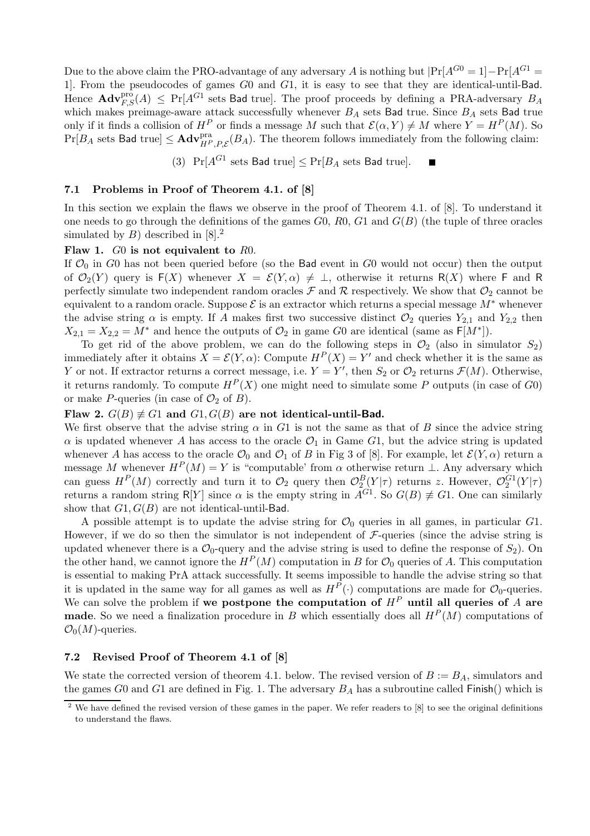Due to the above claim the PRO-advantage of any adversary A is nothing but  $|Pr[A^{G0} = 1] - Pr[A^{G1} = 1]$ 1]. From the pseudocodes of games G0 and G1, it is easy to see that they are identical-until-Bad. Hence  $\mathbf{Adv}_{F,S}^{\text{pro}}(A) \leq \Pr[A^{G_1} \text{ sets } \textsf{Bad true}]$ . The proof proceeds by defining a PRA-adversary  $B_A$ which makes preimage-aware attack successfully whenever  $B_A$  sets Bad true. Since  $B_A$  sets Bad true only if it finds a collision of  $H^P$  or finds a message M such that  $\mathcal{E}(\alpha, Y) \neq M$  where  $Y = H^P(M)$ . So  $Pr[B_A \text{ sets } \mathsf{Bad \ true}] \leq \mathbf{Adv}_{H^P,P,\mathcal{E}}^{\text{pra}}(B_A)$ . The theorem follows immediately from the following claim:

(3)  $Pr[A^{G1} \text{ sets } \textsf{Bad true}] \le Pr[B_A \text{ sets } \textsf{Bad true}].$ 

## 7.1 Problems in Proof of Theorem 4.1. of [8]

In this section we explain the flaws we observe in the proof of Theorem 4.1. of [8]. To understand it one needs to go through the definitions of the games  $G_0$ ,  $R_0$ ,  $G_1$  and  $G(B)$  (the tuple of three oracles simulated by  $B$ ) described in [8].<sup>2</sup>

#### Flaw 1. G0 is not equivalent to R0.

If  $\mathcal{O}_0$  in G0 has not been queried before (so the Bad event in G0 would not occur) then the output of  $\mathcal{O}_2(Y)$  query is  $F(X)$  whenever  $X = \mathcal{E}(Y, \alpha) \neq \perp$ , otherwise it returns R(X) where F and R perfectly simulate two independent random oracles  $\mathcal F$  and  $\mathcal R$  respectively. We show that  $\mathcal O_2$  cannot be equivalent to a random oracle. Suppose  $\mathcal E$  is an extractor which returns a special message  $M^*$  whenever the advise string  $\alpha$  is empty. If A makes first two successive distinct  $\mathcal{O}_2$  queries  $Y_{2,1}$  and  $Y_{2,2}$  then  $X_{2,1} = X_{2,2} = M^*$  and hence the outputs of  $\mathcal{O}_2$  in game G0 are identical (same as  $\mathsf{F}[M^*]$ ).

To get rid of the above problem, we can do the following steps in  $\mathcal{O}_2$  (also in simulator  $S_2$ ) immediately after it obtains  $X = \mathcal{E}(Y, \alpha)$ : Compute  $H^P(X) = Y'$  and check whether it is the same as Y or not. If extractor returns a correct message, i.e.  $Y = Y'$ , then  $S_2$  or  $\mathcal{O}_2$  returns  $\mathcal{F}(M)$ . Otherwise, it returns randomly. To compute  $H<sup>P</sup>(X)$  one might need to simulate some P outputs (in case of G0) or make P-queries (in case of  $\mathcal{O}_2$  of B).

## Flaw 2.  $G(B) \neq G1$  and  $G1, G(B)$  are not identical-until-Bad.

We first observe that the advise string  $\alpha$  in G1 is not the same as that of B since the advice string  $\alpha$  is updated whenever A has access to the oracle  $\mathcal{O}_1$  in Game G1, but the advice string is updated whenever A has access to the oracle  $\mathcal{O}_0$  and  $\mathcal{O}_1$  of B in Fig 3 of [8]. For example, let  $\mathcal{E}(Y,\alpha)$  return a message M whenever  $H^P(M) = Y$  is "computable' from  $\alpha$  otherwise return  $\bot$ . Any adversary which can guess  $H^P(M)$  correctly and turn it to  $\mathcal{O}_2$  query then  $\mathcal{O}_2^B(Y|\tau)$  returns z. However,  $\mathcal{O}_2^{G_1}(Y|\tau)$ returns a random string R[Y] since  $\alpha$  is the empty string in  $A^{G_1}$ . So  $G(B) \neq G_1$ . One can similarly show that  $G1, G(B)$  are not identical-until-Bad.

A possible attempt is to update the advise string for  $\mathcal{O}_0$  queries in all games, in particular  $G1$ . However, if we do so then the simulator is not independent of  $\mathcal{F}\text{-}$ queries (since the advise string is updated whenever there is a  $\mathcal{O}_0$ -query and the advise string is used to define the response of  $S_2$ ). On the other hand, we cannot ignore the  $H^P(M)$  computation in B for  $\mathcal{O}_0$  queries of A. This computation is essential to making PrA attack successfully. It seems impossible to handle the advise string so that it is updated in the same way for all games as well as  $H^P(\cdot)$  computations are made for  $\mathcal{O}_0$ -queries. We can solve the problem if we postpone the computation of  $H^P$  until all queries of A are **made**. So we need a finalization procedure in B which essentially does all  $H^P(M)$  computations of  $\mathcal{O}_0(M)$ -queries.

### 7.2 Revised Proof of Theorem 4.1 of [8]

We state the corrected version of theorem 4.1. below. The revised version of  $B := B<sub>A</sub>$ , simulators and the games G0 and G1 are defined in Fig. 1. The adversary  $B_A$  has a subroutine called Finish() which is

 $\frac{1}{2}$  We have defined the revised version of these games in the paper. We refer readers to [8] to see the original definitions to understand the flaws.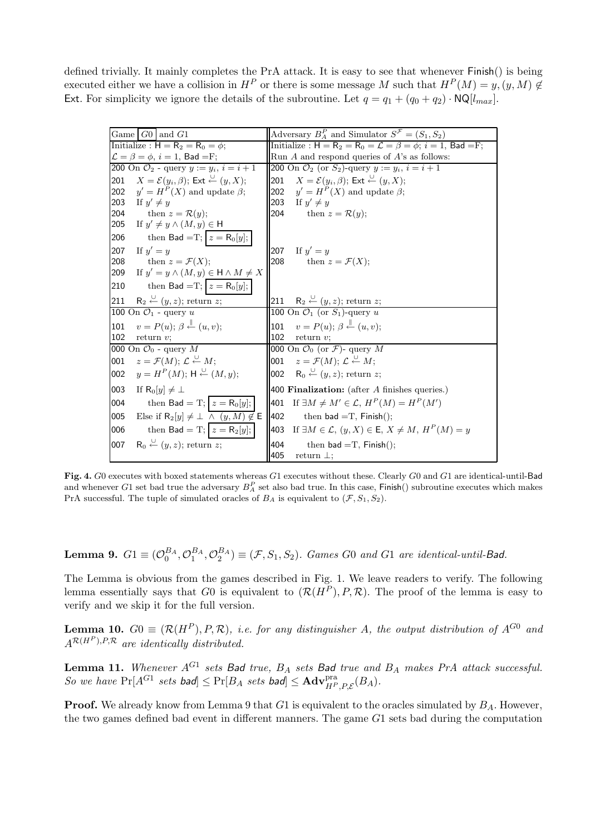defined trivially. It mainly completes the PrA attack. It is easy to see that whenever Finish() is being executed either we have a collision in  $H^P$  or there is some message M such that  $H^P(M) = y, (y, M) \notin$ Ext. For simplicity we ignore the details of the subroutine. Let  $q = q_1 + (q_0 + q_2) \cdot \text{NQ}[l_{max}]$ .

| Game $ G0 $ and $G1$                                                                                          | Adversary $B_A^P$ and Simulator $S^F = (S_1, S_2)$                                                 |
|---------------------------------------------------------------------------------------------------------------|----------------------------------------------------------------------------------------------------|
| Initialize : $H = R_2 = R_0 = \phi$ ;                                                                         | Initialize: $H = R_2 = R_0 = \mathcal{L} = \beta = \phi$ ; $i = 1$ , Bad = F;                      |
| $\mathcal{L} = \beta = \phi, i = 1, \text{ Bad} = F;$<br>200 On $\mathcal{O}_2$ - query $y := y_i, i = i + 1$ | Run $A$ and respond queries of $A$ 's as follows:                                                  |
|                                                                                                               | 200 On $\mathcal{O}_2$ (or $S_2$ )-query $y := y_i, i = i + 1$                                     |
| 201 $X = \mathcal{E}(y_i, \beta)$ ; Ext $\stackrel{\cup}{\leftarrow} (y, X)$ ;                                | 201 $X = \mathcal{E}(y_i, \beta)$ ; Ext $\stackrel{\cup}{\leftarrow} (y, X)$ ;                     |
| 202 $y' = HP(X)$ and update $\beta$ ;                                                                         | 202 $y' = HP(X)$ and update $\beta$ ;                                                              |
| 203<br>If $y' \neq y$                                                                                         | 203<br>If $y' \neq y$                                                                              |
| 204<br>then $z = \mathcal{R}(y)$ ;                                                                            | 204<br>then $z = \mathcal{R}(y)$ ;                                                                 |
| 205<br>If $y' \neq y \wedge (M, y) \in H$                                                                     |                                                                                                    |
| then Bad = T; $z = R_0[y]$ ;<br>206                                                                           |                                                                                                    |
| 207<br>If $y' = y$                                                                                            | 207 If $y' = y$                                                                                    |
| 208<br>then $z = \mathcal{F}(X)$ ;                                                                            | 208<br>then $z = \mathcal{F}(X);$                                                                  |
| If $y' = y \wedge (M, y) \in \mathsf{H} \wedge M \neq X$<br>209                                               |                                                                                                    |
| then Bad = T; $z = R_0[y]$ ;<br>210                                                                           |                                                                                                    |
| $R_2 \stackrel{\cup}{\leftarrow} (y, z)$ ; return z;<br>211                                                   | 211 R <sub>2</sub> $\stackrel{\cup}{\leftarrow}$ ( <i>y</i> , <i>z</i> ); return <i>z</i> ;        |
| 100 On $\mathcal{O}_1$ - query u                                                                              | 100 On $\mathcal{O}_1$ (or $S_1$ )-query u                                                         |
| $v = P(u); \beta \stackrel{\parallel}{\leftarrow} (u, v);$<br>101                                             | 101 $v = P(u)$ ; $\beta \stackrel{\parallel}{\leftarrow} (u, v)$ ;                                 |
| 102<br>return $v$ ;                                                                                           | 102 return $v$ ;                                                                                   |
| 000 On $\mathcal{O}_0$ - query M                                                                              | 000 On $\mathcal{O}_0$ (or $\mathcal{F}$ )- query M                                                |
| $z = \mathcal{F}(M);$ $\mathcal{L} \stackrel{\cup}{\leftarrow} M;$<br>001                                     | 001 $z = \mathcal{F}(M); \mathcal{L} \stackrel{\cup}{\leftarrow} M;$                               |
| $y = H^P(M);$ H $\stackrel{\cup}{\leftarrow} (M, y);$<br>002                                                  | <b>002</b> R <sub>0</sub> $\stackrel{\cup}{\leftarrow}$ ( <i>y</i> , <i>z</i> ); return <i>z</i> ; |
| 003<br>If $R_0[u] \neq \perp$                                                                                 | 400 Finalization: (after $A$ finishes queries.)                                                    |
| then Bad = T; $z = R_0[y]$ ;<br>004                                                                           | 401 If $\exists M \neq M' \in \mathcal{L}, H^P(M) = H^P(M')$                                       |
| 005<br>Else if $R_2[y] \neq \perp \wedge (y, M) \notin E$                                                     | 402<br>then bad $=T$ , Finish();                                                                   |
| then Bad = T; $z = R_2[y]$ ;<br>006                                                                           | 403 If $\exists M \in \mathcal{L}, (y, X) \in \mathsf{E}, X \neq M, H^P(M) = y$                    |
| $R_0 \stackrel{\cup}{\leftarrow} (y, z)$ ; return z;<br>007                                                   | 404<br>then bad $=T$ , Finish();                                                                   |
|                                                                                                               | 405<br>return $\perp$ ;                                                                            |

Fig. 4. G0 executes with boxed statements whereas G1 executes without these. Clearly G0 and G1 are identical-until-Bad and whenever G1 set bad true the adversary  $B_A^P$  set also bad true. In this case, Finish() subroutine executes which makes PrA successful. The tuple of simulated oracles of  $B_A$  is equivalent to  $(\mathcal{F}, S_1, S_2)$ .

**Lemma 9.**  $G1 \equiv (\mathcal{O}_0^{BA}, \mathcal{O}_1^{BA}, \mathcal{O}_2^{BA}) \equiv (\mathcal{F}, S_1, S_2)$ . Games G0 and G1 are identical-until-Bad.

The Lemma is obvious from the games described in Fig. 1. We leave readers to verify. The following lemma essentially says that G0 is equivalent to  $(\mathcal{R}(H^P), P, \mathcal{R})$ . The proof of the lemma is easy to verify and we skip it for the full version.

**Lemma 10.**  $G0 \equiv (\mathcal{R}(H^P), P, \mathcal{R})$ , i.e. for any distinguisher A, the output distribution of  $A^{G0}$  and  $A^{\mathcal{R}(H^P), P, \mathcal{R}}$  are identically distributed.

**Lemma 11.** Whenever  $A^{G_1}$  sets Bad true,  $B_A$  sets Bad true and  $B_A$  makes PrA attack successful. So we have  $Pr[A^{G1} \; sets \; bad] \leq Pr[B_A \; sets \; bad] \leq \textbf{Adv}_{H^P,P,\mathcal{E}}^{\text{pra}}(B_A).$ 

**Proof.** We already know from Lemma 9 that  $G1$  is equivalent to the oracles simulated by  $B_A$ . However, the two games defined bad event in different manners. The game G1 sets bad during the computation